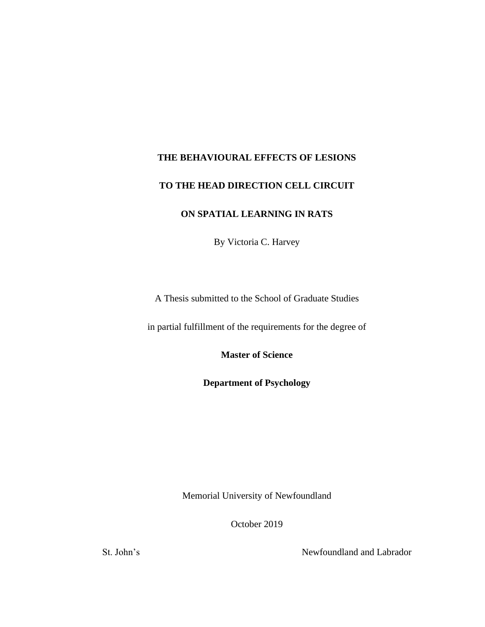# **THE BEHAVIOURAL EFFECTS OF LESIONS**

# **TO THE HEAD DIRECTION CELL CIRCUIT**

## **ON SPATIAL LEARNING IN RATS**

By Victoria C. Harvey

A Thesis submitted to the School of Graduate Studies

in partial fulfillment of the requirements for the degree of

**Master of Science**

**Department of Psychology**

Memorial University of Newfoundland

October 2019

St. John's Newfoundland and Labrador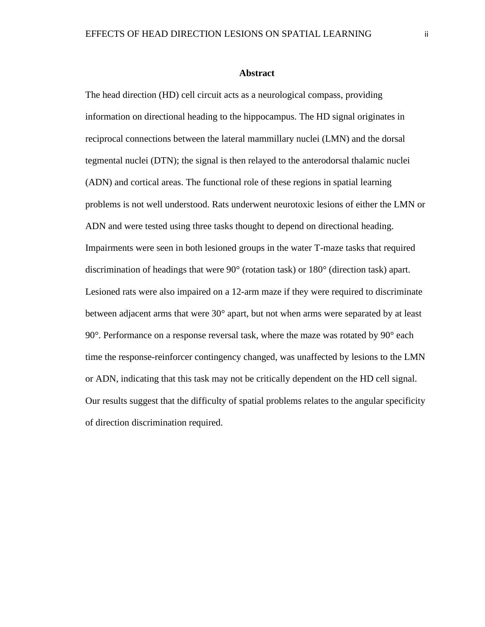#### **Abstract**

The head direction (HD) cell circuit acts as a neurological compass, providing information on directional heading to the hippocampus. The HD signal originates in reciprocal connections between the lateral mammillary nuclei (LMN) and the dorsal tegmental nuclei (DTN); the signal is then relayed to the anterodorsal thalamic nuclei (ADN) and cortical areas. The functional role of these regions in spatial learning problems is not well understood. Rats underwent neurotoxic lesions of either the LMN or ADN and were tested using three tasks thought to depend on directional heading. Impairments were seen in both lesioned groups in the water T-maze tasks that required discrimination of headings that were 90° (rotation task) or 180° (direction task) apart. Lesioned rats were also impaired on a 12-arm maze if they were required to discriminate between adjacent arms that were 30° apart, but not when arms were separated by at least 90°. Performance on a response reversal task, where the maze was rotated by 90° each time the response-reinforcer contingency changed, was unaffected by lesions to the LMN or ADN, indicating that this task may not be critically dependent on the HD cell signal. Our results suggest that the difficulty of spatial problems relates to the angular specificity of direction discrimination required.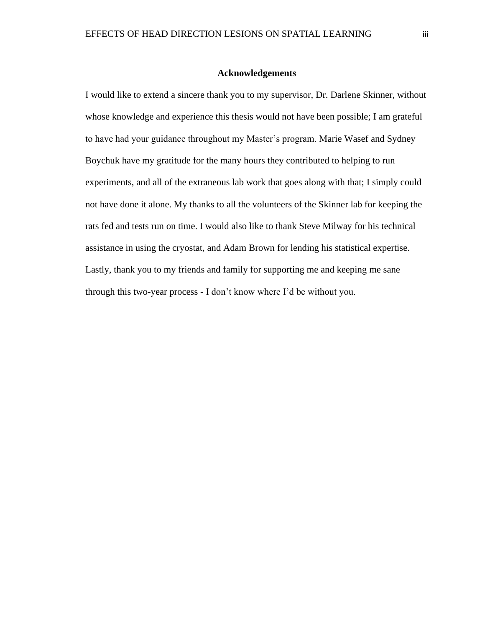#### **Acknowledgements**

I would like to extend a sincere thank you to my supervisor, Dr. Darlene Skinner, without whose knowledge and experience this thesis would not have been possible; I am grateful to have had your guidance throughout my Master's program. Marie Wasef and Sydney Boychuk have my gratitude for the many hours they contributed to helping to run experiments, and all of the extraneous lab work that goes along with that; I simply could not have done it alone. My thanks to all the volunteers of the Skinner lab for keeping the rats fed and tests run on time. I would also like to thank Steve Milway for his technical assistance in using the cryostat, and Adam Brown for lending his statistical expertise. Lastly, thank you to my friends and family for supporting me and keeping me sane through this two-year process - I don't know where I'd be without you.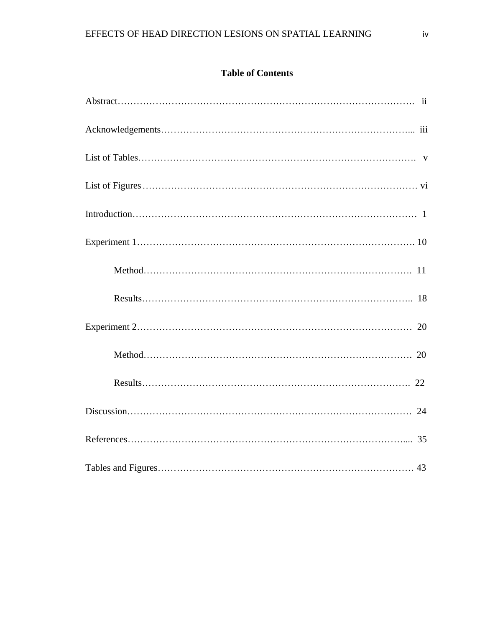## **Table of Contents**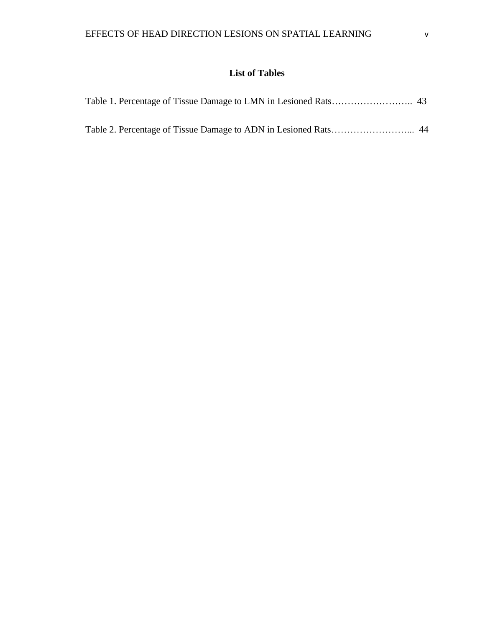# **List of Tables**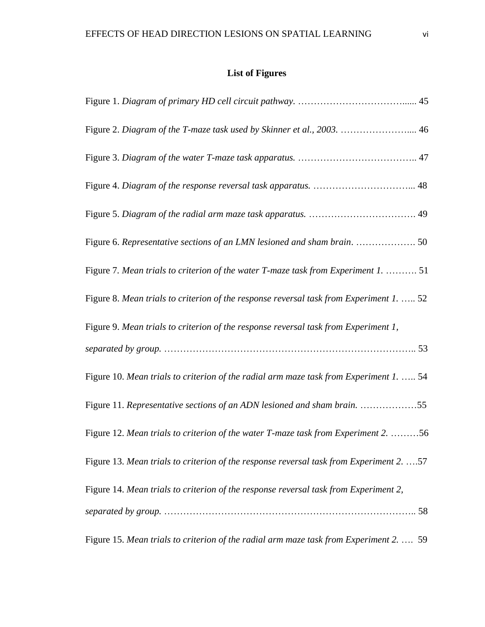# **List of Figures**

| Figure 2. Diagram of the T-maze task used by Skinner et al., 2003.  46                   |
|------------------------------------------------------------------------------------------|
|                                                                                          |
|                                                                                          |
|                                                                                          |
| Figure 6. Representative sections of an LMN lesioned and sham brain.  50                 |
| Figure 7. Mean trials to criterion of the water T-maze task from Experiment 1.  51       |
| Figure 8. Mean trials to criterion of the response reversal task from Experiment 1.  52  |
| Figure 9. Mean trials to criterion of the response reversal task from Experiment 1,      |
|                                                                                          |
| Figure 10. Mean trials to criterion of the radial arm maze task from Experiment 1.  54   |
| Figure 11. Representative sections of an ADN lesioned and sham brain. 55                 |
| Figure 12. Mean trials to criterion of the water T-maze task from Experiment 2. 56       |
| Figure 13. Mean trials to criterion of the response reversal task from Experiment 2.  57 |
| Figure 14. Mean trials to criterion of the response reversal task from Experiment 2,     |
|                                                                                          |
| Figure 15. Mean trials to criterion of the radial arm maze task from Experiment 2.  59   |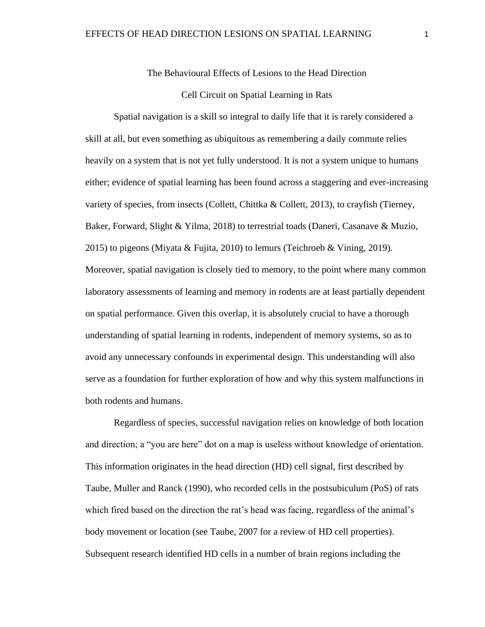#### The Behavioural Effects of Lesions to the Head Direction

#### Cell Circuit on Spatial Learning in Rats

Spatial navigation is a skill so integral to daily life that it is rarely considered a skill at all, but even something as ubiquitous as remembering a daily commute relies heavily on a system that is not yet fully understood. It is not a system unique to humans either; evidence of spatial learning has been found across a staggering and ever-increasing variety of species, from insects (Collett, Chittka & Collett, 2013), to crayfish (Tierney, Baker, Forward, Slight & Yilma, 2018) to terrestrial toads (Daneri, Casanave & Muzio, 2015) to pigeons (Miyata & Fujita, 2010) to lemurs (Teichroeb & Vining, 2019). Moreover, spatial navigation is closely tied to memory, to the point where many common laboratory assessments of learning and memory in rodents are at least partially dependent on spatial performance. Given this overlap, it is absolutely crucial to have a thorough understanding of spatial learning in rodents, independent of memory systems, so as to avoid any unnecessary confounds in experimental design. This understanding will also serve as a foundation for further exploration of how and why this system malfunctions in both rodents and humans.

Regardless of species, successful navigation relies on knowledge of both location and direction; a "you are here" dot on a map is useless without knowledge of orientation. This information originates in the head direction (HD) cell signal, first described by Taube, Muller and Ranck (1990), who recorded cells in the postsubiculum (PoS) of rats which fired based on the direction the rat's head was facing, regardless of the animal's body movement or location (see Taube, 2007 for a review of HD cell properties). Subsequent research identified HD cells in a number of brain regions including the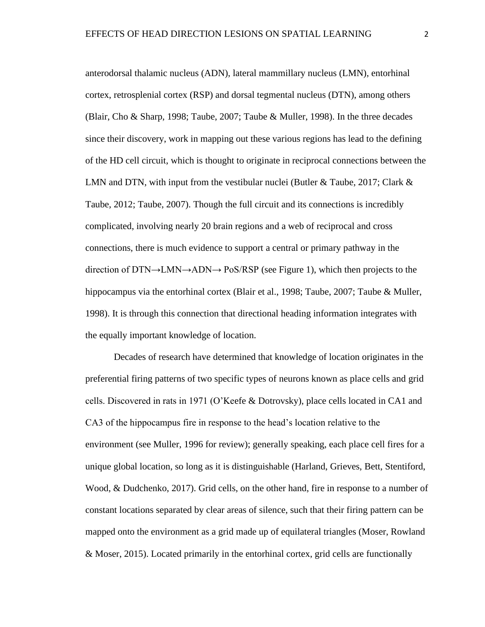anterodorsal thalamic nucleus (ADN), lateral mammillary nucleus (LMN), entorhinal cortex, retrosplenial cortex (RSP) and dorsal tegmental nucleus (DTN), among others (Blair, Cho & Sharp, 1998; Taube, 2007; Taube & Muller, 1998). In the three decades since their discovery, work in mapping out these various regions has lead to the defining of the HD cell circuit, which is thought to originate in reciprocal connections between the LMN and DTN, with input from the vestibular nuclei (Butler & Taube, 2017; Clark & Taube, 2012; Taube, 2007). Though the full circuit and its connections is incredibly complicated, involving nearly 20 brain regions and a web of reciprocal and cross connections, there is much evidence to support a central or primary pathway in the direction of DTN→LMN→ADN→ PoS/RSP (see Figure 1), which then projects to the hippocampus via the entorhinal cortex (Blair et al., 1998; Taube, 2007; Taube & Muller, 1998). It is through this connection that directional heading information integrates with the equally important knowledge of location.

Decades of research have determined that knowledge of location originates in the preferential firing patterns of two specific types of neurons known as place cells and grid cells. Discovered in rats in 1971 (O'Keefe & Dotrovsky), place cells located in CA1 and CA3 of the hippocampus fire in response to the head's location relative to the environment (see Muller, 1996 for review); generally speaking, each place cell fires for a unique global location, so long as it is distinguishable (Harland, Grieves, Bett, Stentiford, Wood, & Dudchenko, 2017). Grid cells, on the other hand, fire in response to a number of constant locations separated by clear areas of silence, such that their firing pattern can be mapped onto the environment as a grid made up of equilateral triangles (Moser, Rowland & Moser, 2015). Located primarily in the entorhinal cortex, grid cells are functionally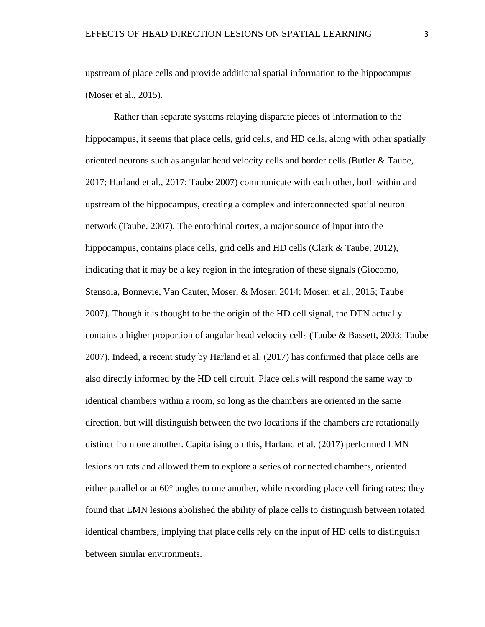upstream of place cells and provide additional spatial information to the hippocampus (Moser et al., 2015).

Rather than separate systems relaying disparate pieces of information to the hippocampus, it seems that place cells, grid cells, and HD cells, along with other spatially oriented neurons such as angular head velocity cells and border cells (Butler & Taube, 2017; Harland et al., 2017; Taube 2007) communicate with each other, both within and upstream of the hippocampus, creating a complex and interconnected spatial neuron network (Taube, 2007). The entorhinal cortex, a major source of input into the hippocampus, contains place cells, grid cells and HD cells (Clark & Taube, 2012), indicating that it may be a key region in the integration of these signals (Giocomo, Stensola, Bonnevie, Van Cauter, Moser, & Moser, 2014; Moser, et al., 2015; Taube 2007). Though it is thought to be the origin of the HD cell signal, the DTN actually contains a higher proportion of angular head velocity cells (Taube & Bassett, 2003; Taube 2007). Indeed, a recent study by Harland et al. (2017) has confirmed that place cells are also directly informed by the HD cell circuit. Place cells will respond the same way to identical chambers within a room, so long as the chambers are oriented in the same direction, but will distinguish between the two locations if the chambers are rotationally distinct from one another. Capitalising on this, Harland et al. (2017) performed LMN lesions on rats and allowed them to explore a series of connected chambers, oriented either parallel or at  $60^{\circ}$  angles to one another, while recording place cell firing rates; they found that LMN lesions abolished the ability of place cells to distinguish between rotated identical chambers, implying that place cells rely on the input of HD cells to distinguish between similar environments.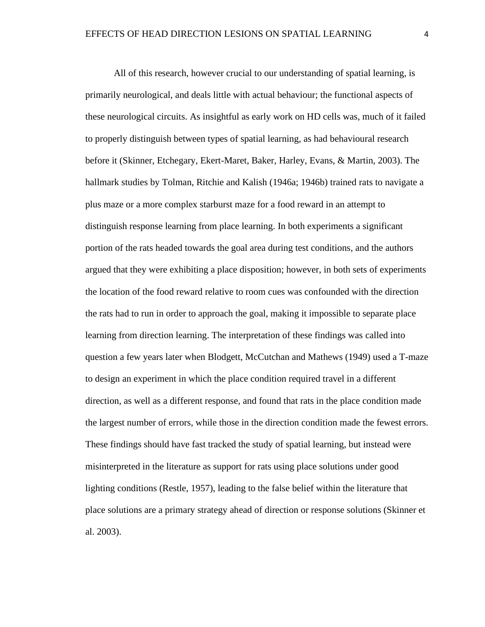All of this research, however crucial to our understanding of spatial learning, is primarily neurological, and deals little with actual behaviour; the functional aspects of these neurological circuits. As insightful as early work on HD cells was, much of it failed to properly distinguish between types of spatial learning, as had behavioural research before it (Skinner, Etchegary, Ekert-Maret, Baker, Harley, Evans, & Martin, 2003). The hallmark studies by Tolman, Ritchie and Kalish (1946a; 1946b) trained rats to navigate a plus maze or a more complex starburst maze for a food reward in an attempt to distinguish response learning from place learning. In both experiments a significant portion of the rats headed towards the goal area during test conditions, and the authors argued that they were exhibiting a place disposition; however, in both sets of experiments the location of the food reward relative to room cues was confounded with the direction the rats had to run in order to approach the goal, making it impossible to separate place learning from direction learning. The interpretation of these findings was called into question a few years later when Blodgett, McCutchan and Mathews (1949) used a T-maze to design an experiment in which the place condition required travel in a different direction, as well as a different response, and found that rats in the place condition made the largest number of errors, while those in the direction condition made the fewest errors. These findings should have fast tracked the study of spatial learning, but instead were misinterpreted in the literature as support for rats using place solutions under good lighting conditions (Restle, 1957), leading to the false belief within the literature that place solutions are a primary strategy ahead of direction or response solutions (Skinner et al. 2003).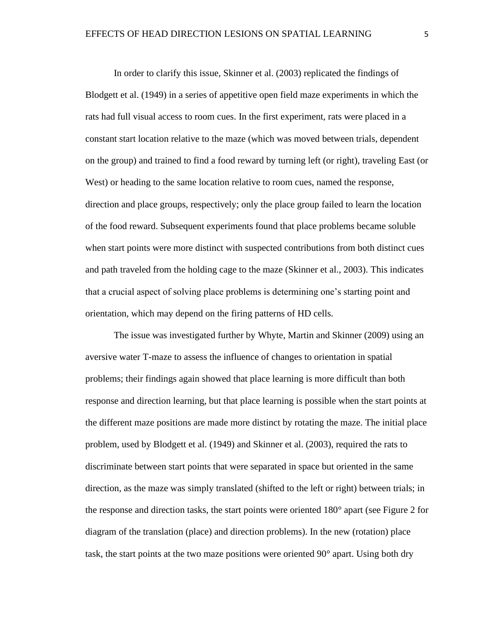In order to clarify this issue, Skinner et al. (2003) replicated the findings of Blodgett et al. (1949) in a series of appetitive open field maze experiments in which the rats had full visual access to room cues. In the first experiment, rats were placed in a constant start location relative to the maze (which was moved between trials, dependent on the group) and trained to find a food reward by turning left (or right), traveling East (or West) or heading to the same location relative to room cues, named the response, direction and place groups, respectively; only the place group failed to learn the location of the food reward. Subsequent experiments found that place problems became soluble when start points were more distinct with suspected contributions from both distinct cues and path traveled from the holding cage to the maze (Skinner et al., 2003). This indicates that a crucial aspect of solving place problems is determining one's starting point and orientation, which may depend on the firing patterns of HD cells.

The issue was investigated further by Whyte, Martin and Skinner (2009) using an aversive water T-maze to assess the influence of changes to orientation in spatial problems; their findings again showed that place learning is more difficult than both response and direction learning, but that place learning is possible when the start points at the different maze positions are made more distinct by rotating the maze. The initial place problem, used by Blodgett et al. (1949) and Skinner et al. (2003), required the rats to discriminate between start points that were separated in space but oriented in the same direction, as the maze was simply translated (shifted to the left or right) between trials; in the response and direction tasks, the start points were oriented 180° apart (see Figure 2 for diagram of the translation (place) and direction problems). In the new (rotation) place task, the start points at the two maze positions were oriented 90° apart. Using both dry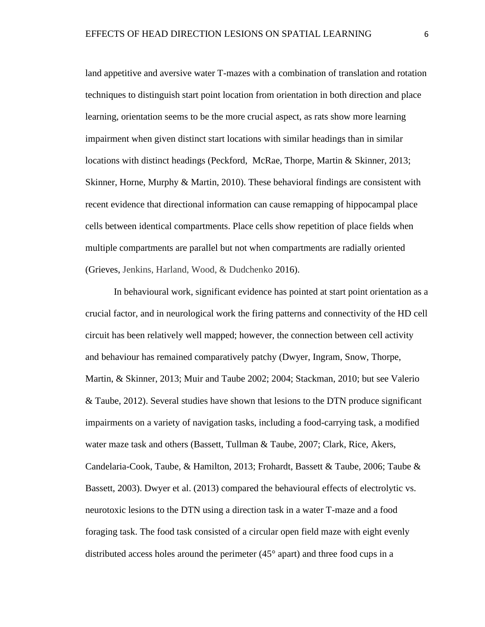land appetitive and aversive water T-mazes with a combination of translation and rotation techniques to distinguish start point location from orientation in both direction and place learning, orientation seems to be the more crucial aspect, as rats show more learning impairment when given distinct start locations with similar headings than in similar locations with distinct headings (Peckford, McRae, Thorpe, Martin & Skinner, 2013; Skinner, Horne, Murphy & Martin, 2010). These behavioral findings are consistent with recent evidence that directional information can cause remapping of hippocampal place cells between identical compartments. Place cells show repetition of place fields when multiple compartments are parallel but not when compartments are radially oriented (Grieves, Jenkins, Harland, Wood, & Dudchenko 2016).

In behavioural work, significant evidence has pointed at start point orientation as a crucial factor, and in neurological work the firing patterns and connectivity of the HD cell circuit has been relatively well mapped; however, the connection between cell activity and behaviour has remained comparatively patchy (Dwyer, Ingram, Snow, Thorpe, Martin, & Skinner, 2013; Muir and Taube 2002; 2004; Stackman, 2010; but see Valerio & Taube, 2012). Several studies have shown that lesions to the DTN produce significant impairments on a variety of navigation tasks, including a food-carrying task, a modified water maze task and others (Bassett, Tullman & Taube, 2007; Clark, Rice, Akers, Candelaria-Cook, Taube, & Hamilton, 2013; Frohardt, Bassett & Taube, 2006; Taube & Bassett, 2003). Dwyer et al. (2013) compared the behavioural effects of electrolytic vs. neurotoxic lesions to the DTN using a direction task in a water T-maze and a food foraging task. The food task consisted of a circular open field maze with eight evenly distributed access holes around the perimeter (45° apart) and three food cups in a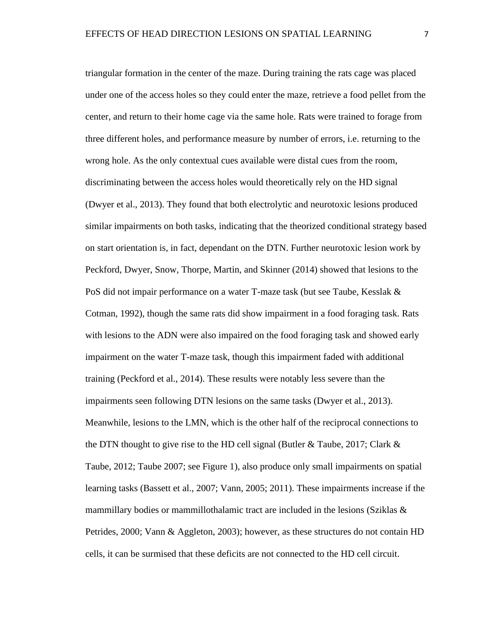triangular formation in the center of the maze. During training the rats cage was placed under one of the access holes so they could enter the maze, retrieve a food pellet from the center, and return to their home cage via the same hole. Rats were trained to forage from three different holes, and performance measure by number of errors, i.e. returning to the wrong hole. As the only contextual cues available were distal cues from the room, discriminating between the access holes would theoretically rely on the HD signal (Dwyer et al., 2013). They found that both electrolytic and neurotoxic lesions produced similar impairments on both tasks, indicating that the theorized conditional strategy based on start orientation is, in fact, dependant on the DTN. Further neurotoxic lesion work by Peckford, Dwyer, Snow, Thorpe, Martin, and Skinner (2014) showed that lesions to the PoS did not impair performance on a water T-maze task (but see Taube, Kesslak & Cotman, 1992), though the same rats did show impairment in a food foraging task. Rats with lesions to the ADN were also impaired on the food foraging task and showed early impairment on the water T-maze task, though this impairment faded with additional training (Peckford et al., 2014). These results were notably less severe than the impairments seen following DTN lesions on the same tasks (Dwyer et al., 2013). Meanwhile, lesions to the LMN, which is the other half of the reciprocal connections to the DTN thought to give rise to the HD cell signal (Butler & Taube, 2017; Clark  $\&$ Taube, 2012; Taube 2007; see Figure 1), also produce only small impairments on spatial learning tasks (Bassett et al., 2007; Vann, 2005; 2011). These impairments increase if the mammillary bodies or mammillothalamic tract are included in the lesions (Sziklas  $\&$ Petrides, 2000; Vann & Aggleton, 2003); however, as these structures do not contain HD cells, it can be surmised that these deficits are not connected to the HD cell circuit.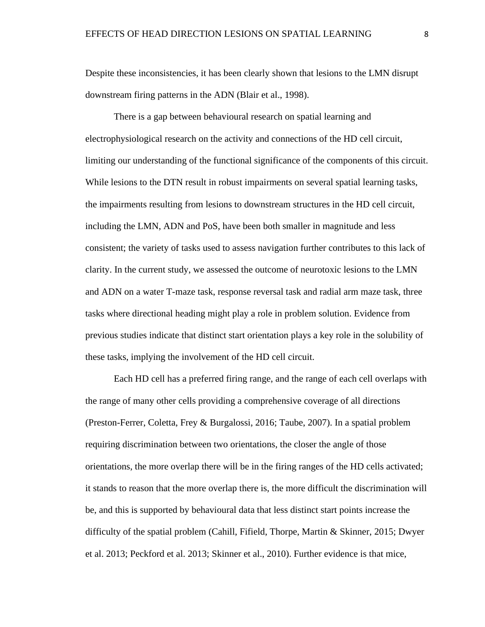Despite these inconsistencies, it has been clearly shown that lesions to the LMN disrupt downstream firing patterns in the ADN (Blair et al., 1998).

There is a gap between behavioural research on spatial learning and electrophysiological research on the activity and connections of the HD cell circuit, limiting our understanding of the functional significance of the components of this circuit. While lesions to the DTN result in robust impairments on several spatial learning tasks, the impairments resulting from lesions to downstream structures in the HD cell circuit, including the LMN, ADN and PoS, have been both smaller in magnitude and less consistent; the variety of tasks used to assess navigation further contributes to this lack of clarity. In the current study, we assessed the outcome of neurotoxic lesions to the LMN and ADN on a water T-maze task, response reversal task and radial arm maze task, three tasks where directional heading might play a role in problem solution. Evidence from previous studies indicate that distinct start orientation plays a key role in the solubility of these tasks, implying the involvement of the HD cell circuit.

Each HD cell has a preferred firing range, and the range of each cell overlaps with the range of many other cells providing a comprehensive coverage of all directions (Preston-Ferrer, Coletta, Frey & Burgalossi, 2016; Taube, 2007). In a spatial problem requiring discrimination between two orientations, the closer the angle of those orientations, the more overlap there will be in the firing ranges of the HD cells activated; it stands to reason that the more overlap there is, the more difficult the discrimination will be, and this is supported by behavioural data that less distinct start points increase the difficulty of the spatial problem (Cahill, Fifield, Thorpe, Martin & Skinner, 2015; Dwyer et al. 2013; Peckford et al. 2013; Skinner et al., 2010). Further evidence is that mice,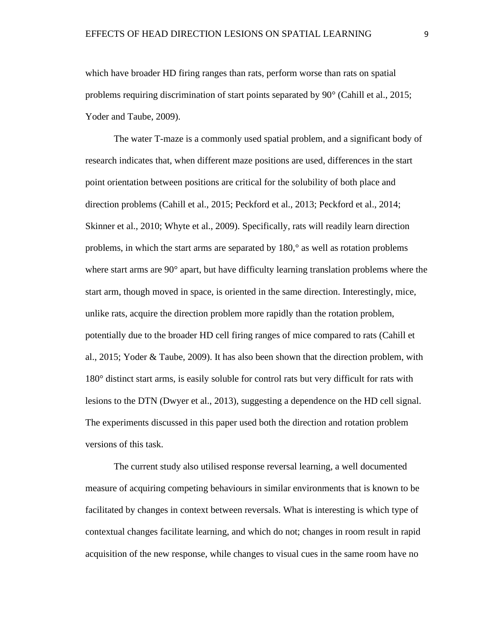which have broader HD firing ranges than rats, perform worse than rats on spatial problems requiring discrimination of start points separated by 90° (Cahill et al., 2015; Yoder and Taube, 2009).

The water T-maze is a commonly used spatial problem, and a significant body of research indicates that, when different maze positions are used, differences in the start point orientation between positions are critical for the solubility of both place and direction problems (Cahill et al., 2015; Peckford et al., 2013; Peckford et al., 2014; Skinner et al., 2010; Whyte et al., 2009). Specifically, rats will readily learn direction problems, in which the start arms are separated by 180,° as well as rotation problems where start arms are 90° apart, but have difficulty learning translation problems where the start arm, though moved in space, is oriented in the same direction. Interestingly, mice, unlike rats, acquire the direction problem more rapidly than the rotation problem, potentially due to the broader HD cell firing ranges of mice compared to rats (Cahill et al., 2015; Yoder & Taube, 2009). It has also been shown that the direction problem, with 180° distinct start arms, is easily soluble for control rats but very difficult for rats with lesions to the DTN (Dwyer et al., 2013), suggesting a dependence on the HD cell signal. The experiments discussed in this paper used both the direction and rotation problem versions of this task.

The current study also utilised response reversal learning, a well documented measure of acquiring competing behaviours in similar environments that is known to be facilitated by changes in context between reversals. What is interesting is which type of contextual changes facilitate learning, and which do not; changes in room result in rapid acquisition of the new response, while changes to visual cues in the same room have no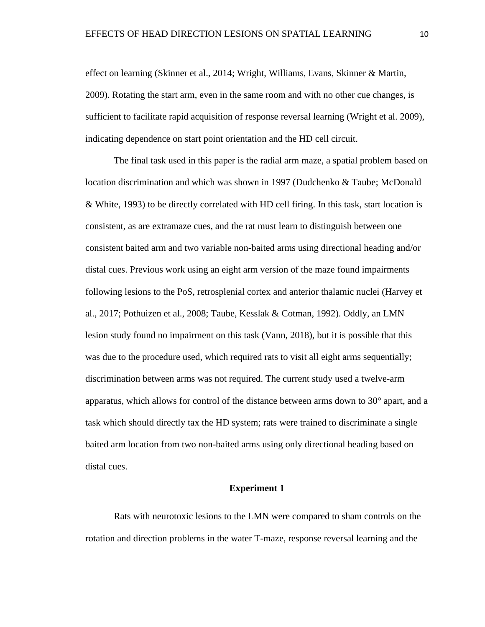effect on learning (Skinner et al., 2014; Wright, Williams, Evans, Skinner & Martin, 2009). Rotating the start arm, even in the same room and with no other cue changes, is sufficient to facilitate rapid acquisition of response reversal learning (Wright et al. 2009), indicating dependence on start point orientation and the HD cell circuit.

The final task used in this paper is the radial arm maze, a spatial problem based on location discrimination and which was shown in 1997 (Dudchenko & Taube; McDonald & White, 1993) to be directly correlated with HD cell firing. In this task, start location is consistent, as are extramaze cues, and the rat must learn to distinguish between one consistent baited arm and two variable non-baited arms using directional heading and/or distal cues. Previous work using an eight arm version of the maze found impairments following lesions to the PoS, retrosplenial cortex and anterior thalamic nuclei (Harvey et al., 2017; Pothuizen et al., 2008; Taube, Kesslak & Cotman, 1992). Oddly, an LMN lesion study found no impairment on this task (Vann, 2018), but it is possible that this was due to the procedure used, which required rats to visit all eight arms sequentially; discrimination between arms was not required. The current study used a twelve-arm apparatus, which allows for control of the distance between arms down to 30° apart, and a task which should directly tax the HD system; rats were trained to discriminate a single baited arm location from two non-baited arms using only directional heading based on distal cues.

#### **Experiment 1**

Rats with neurotoxic lesions to the LMN were compared to sham controls on the rotation and direction problems in the water T-maze, response reversal learning and the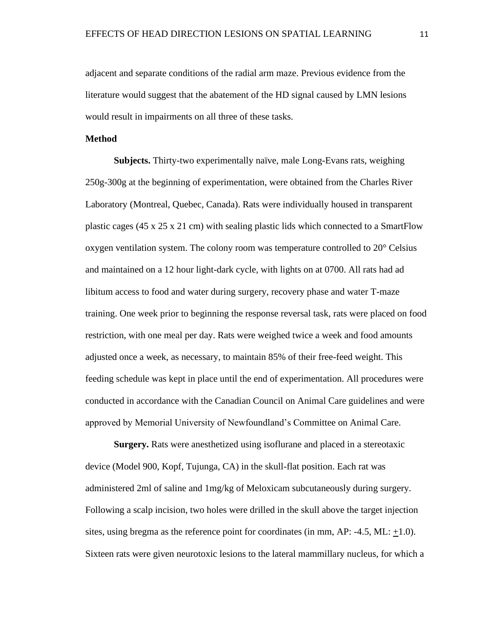adjacent and separate conditions of the radial arm maze. Previous evidence from the literature would suggest that the abatement of the HD signal caused by LMN lesions would result in impairments on all three of these tasks.

#### **Method**

**Subjects.** Thirty-two experimentally naïve, male Long-Evans rats, weighing 250g-300g at the beginning of experimentation, were obtained from the Charles River Laboratory (Montreal, Quebec, Canada). Rats were individually housed in transparent plastic cages (45 x 25 x 21 cm) with sealing plastic lids which connected to a SmartFlow oxygen ventilation system. The colony room was temperature controlled to 20° Celsius and maintained on a 12 hour light-dark cycle, with lights on at 0700. All rats had ad libitum access to food and water during surgery, recovery phase and water T-maze training. One week prior to beginning the response reversal task, rats were placed on food restriction, with one meal per day. Rats were weighed twice a week and food amounts adjusted once a week, as necessary, to maintain 85% of their free-feed weight. This feeding schedule was kept in place until the end of experimentation. All procedures were conducted in accordance with the Canadian Council on Animal Care guidelines and were approved by Memorial University of Newfoundland's Committee on Animal Care.

**Surgery.** Rats were anesthetized using isoflurane and placed in a stereotaxic device (Model 900, Kopf, Tujunga, CA) in the skull-flat position. Each rat was administered 2ml of saline and 1mg/kg of Meloxicam subcutaneously during surgery. Following a scalp incision, two holes were drilled in the skull above the target injection sites, using bregma as the reference point for coordinates (in mm,  $AP: -4.5$ ,  $ML: +1.0$ ). Sixteen rats were given neurotoxic lesions to the lateral mammillary nucleus, for which a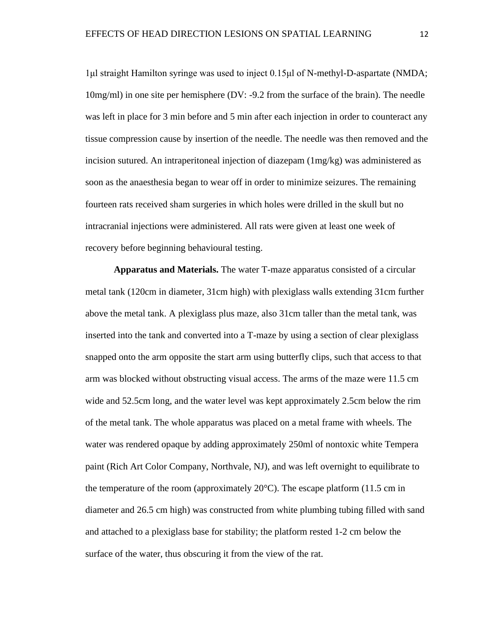1μl straight Hamilton syringe was used to inject 0.15μl of N-methyl-D-aspartate (NMDA; 10mg/ml) in one site per hemisphere (DV: -9.2 from the surface of the brain). The needle was left in place for 3 min before and 5 min after each injection in order to counteract any tissue compression cause by insertion of the needle. The needle was then removed and the incision sutured. An intraperitoneal injection of diazepam (1mg/kg) was administered as soon as the anaesthesia began to wear off in order to minimize seizures. The remaining fourteen rats received sham surgeries in which holes were drilled in the skull but no intracranial injections were administered. All rats were given at least one week of recovery before beginning behavioural testing.

**Apparatus and Materials.** The water T-maze apparatus consisted of a circular metal tank (120cm in diameter, 31cm high) with plexiglass walls extending 31cm further above the metal tank. A plexiglass plus maze, also 31cm taller than the metal tank, was inserted into the tank and converted into a T-maze by using a section of clear plexiglass snapped onto the arm opposite the start arm using butterfly clips, such that access to that arm was blocked without obstructing visual access. The arms of the maze were 11.5 cm wide and 52.5cm long, and the water level was kept approximately 2.5cm below the rim of the metal tank. The whole apparatus was placed on a metal frame with wheels. The water was rendered opaque by adding approximately 250ml of nontoxic white Tempera paint (Rich Art Color Company, Northvale, NJ), and was left overnight to equilibrate to the temperature of the room (approximately  $20^{\circ}$ C). The escape platform (11.5 cm in diameter and 26.5 cm high) was constructed from white plumbing tubing filled with sand and attached to a plexiglass base for stability; the platform rested 1-2 cm below the surface of the water, thus obscuring it from the view of the rat.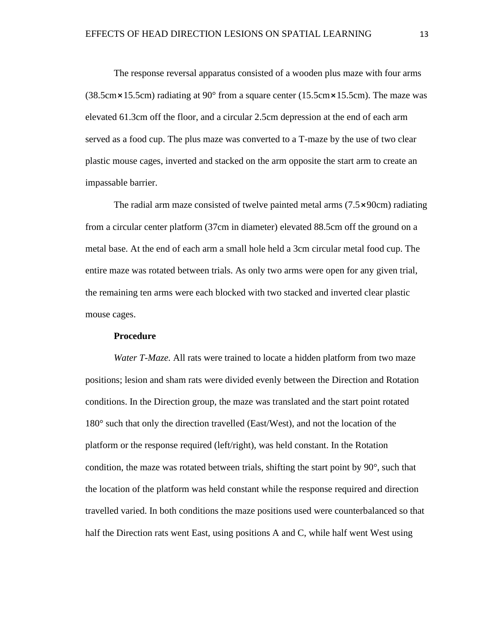The response reversal apparatus consisted of a wooden plus maze with four arms (38.5cm  $\times$  15.5cm) radiating at 90 $^{\circ}$  from a square center (15.5cm  $\times$  15.5cm). The maze was elevated 61.3cm off the floor, and a circular 2.5cm depression at the end of each arm served as a food cup. The plus maze was converted to a T-maze by the use of two clear plastic mouse cages, inverted and stacked on the arm opposite the start arm to create an impassable barrier.

The radial arm maze consisted of twelve painted metal arms  $(7.5 \times 90 \text{cm})$  radiating from a circular center platform (37cm in diameter) elevated 88.5cm off the ground on a metal base. At the end of each arm a small hole held a 3cm circular metal food cup. The entire maze was rotated between trials. As only two arms were open for any given trial, the remaining ten arms were each blocked with two stacked and inverted clear plastic mouse cages.

#### **Procedure**

*Water T-Maze.* All rats were trained to locate a hidden platform from two maze positions; lesion and sham rats were divided evenly between the Direction and Rotation conditions. In the Direction group, the maze was translated and the start point rotated 180° such that only the direction travelled (East/West), and not the location of the platform or the response required (left/right), was held constant. In the Rotation condition, the maze was rotated between trials, shifting the start point by 90°, such that the location of the platform was held constant while the response required and direction travelled varied. In both conditions the maze positions used were counterbalanced so that half the Direction rats went East, using positions A and C, while half went West using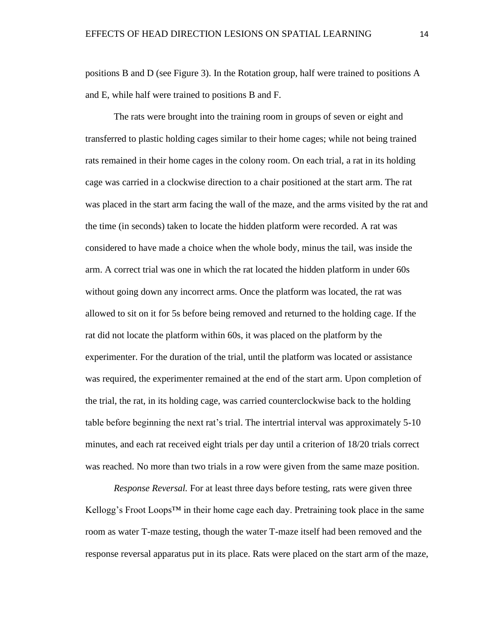positions B and D (see Figure 3). In the Rotation group, half were trained to positions A and E, while half were trained to positions B and F.

The rats were brought into the training room in groups of seven or eight and transferred to plastic holding cages similar to their home cages; while not being trained rats remained in their home cages in the colony room. On each trial, a rat in its holding cage was carried in a clockwise direction to a chair positioned at the start arm. The rat was placed in the start arm facing the wall of the maze, and the arms visited by the rat and the time (in seconds) taken to locate the hidden platform were recorded. A rat was considered to have made a choice when the whole body, minus the tail, was inside the arm. A correct trial was one in which the rat located the hidden platform in under 60s without going down any incorrect arms. Once the platform was located, the rat was allowed to sit on it for 5s before being removed and returned to the holding cage. If the rat did not locate the platform within 60s, it was placed on the platform by the experimenter. For the duration of the trial, until the platform was located or assistance was required, the experimenter remained at the end of the start arm. Upon completion of the trial, the rat, in its holding cage, was carried counterclockwise back to the holding table before beginning the next rat's trial. The intertrial interval was approximately 5-10 minutes, and each rat received eight trials per day until a criterion of 18/20 trials correct was reached. No more than two trials in a row were given from the same maze position.

*Response Reversal.* For at least three days before testing, rats were given three Kellogg's Froot Loops<sup>™</sup> in their home cage each day. Pretraining took place in the same room as water T-maze testing, though the water T-maze itself had been removed and the response reversal apparatus put in its place. Rats were placed on the start arm of the maze,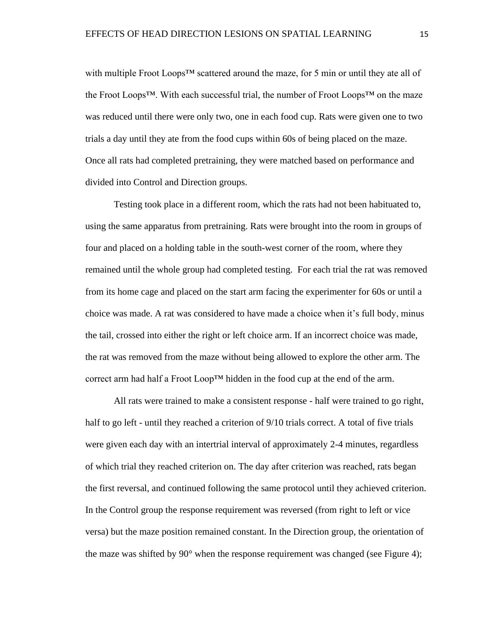with multiple Froot Loops<sup>™</sup> scattered around the maze, for 5 min or until they ate all of the Froot Loops™. With each successful trial, the number of Froot Loops™ on the maze was reduced until there were only two, one in each food cup. Rats were given one to two trials a day until they ate from the food cups within 60s of being placed on the maze. Once all rats had completed pretraining, they were matched based on performance and divided into Control and Direction groups.

Testing took place in a different room, which the rats had not been habituated to, using the same apparatus from pretraining. Rats were brought into the room in groups of four and placed on a holding table in the south-west corner of the room, where they remained until the whole group had completed testing. For each trial the rat was removed from its home cage and placed on the start arm facing the experimenter for 60s or until a choice was made. A rat was considered to have made a choice when it's full body, minus the tail, crossed into either the right or left choice arm. If an incorrect choice was made, the rat was removed from the maze without being allowed to explore the other arm. The correct arm had half a Froot Loop<sup>TM</sup> hidden in the food cup at the end of the arm.

All rats were trained to make a consistent response - half were trained to go right, half to go left - until they reached a criterion of  $9/10$  trials correct. A total of five trials were given each day with an intertrial interval of approximately 2-4 minutes, regardless of which trial they reached criterion on. The day after criterion was reached, rats began the first reversal, and continued following the same protocol until they achieved criterion. In the Control group the response requirement was reversed (from right to left or vice versa) but the maze position remained constant. In the Direction group, the orientation of the maze was shifted by 90° when the response requirement was changed (see Figure 4);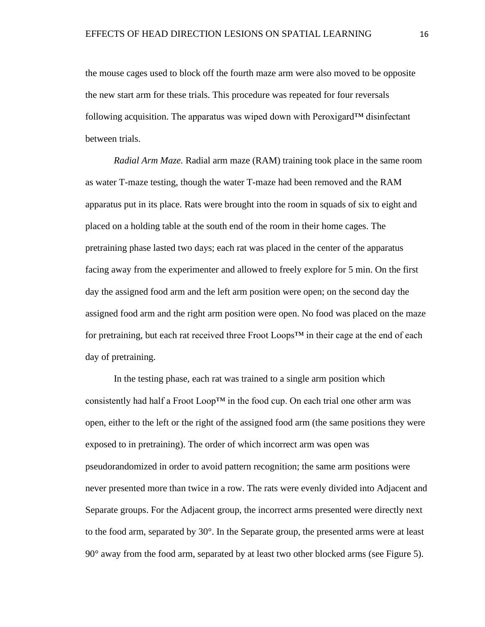the mouse cages used to block off the fourth maze arm were also moved to be opposite the new start arm for these trials. This procedure was repeated for four reversals following acquisition. The apparatus was wiped down with Peroxigard<sup>™</sup> disinfectant between trials.

*Radial Arm Maze.* Radial arm maze (RAM) training took place in the same room as water T-maze testing, though the water T-maze had been removed and the RAM apparatus put in its place. Rats were brought into the room in squads of six to eight and placed on a holding table at the south end of the room in their home cages. The pretraining phase lasted two days; each rat was placed in the center of the apparatus facing away from the experimenter and allowed to freely explore for 5 min. On the first day the assigned food arm and the left arm position were open; on the second day the assigned food arm and the right arm position were open. No food was placed on the maze for pretraining, but each rat received three Froot Loops™ in their cage at the end of each day of pretraining.

In the testing phase, each rat was trained to a single arm position which consistently had half a Froot Loop<sup>TM</sup> in the food cup. On each trial one other arm was open, either to the left or the right of the assigned food arm (the same positions they were exposed to in pretraining). The order of which incorrect arm was open was pseudorandomized in order to avoid pattern recognition; the same arm positions were never presented more than twice in a row. The rats were evenly divided into Adjacent and Separate groups. For the Adjacent group, the incorrect arms presented were directly next to the food arm, separated by 30°. In the Separate group, the presented arms were at least 90° away from the food arm, separated by at least two other blocked arms (see Figure 5).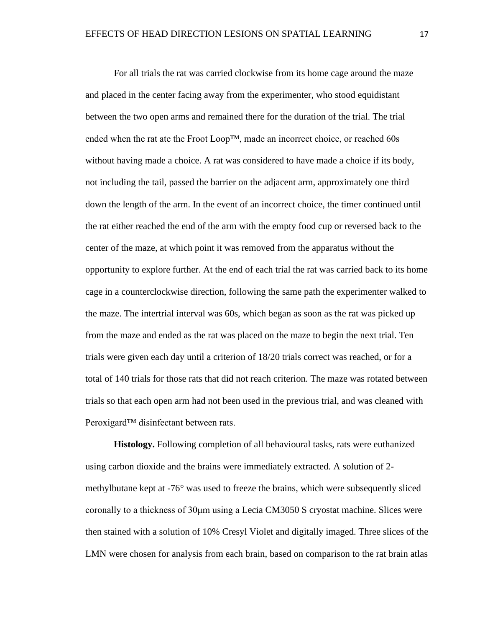For all trials the rat was carried clockwise from its home cage around the maze and placed in the center facing away from the experimenter, who stood equidistant between the two open arms and remained there for the duration of the trial. The trial ended when the rat ate the Froot Loop™, made an incorrect choice, or reached 60s without having made a choice. A rat was considered to have made a choice if its body, not including the tail, passed the barrier on the adjacent arm, approximately one third down the length of the arm. In the event of an incorrect choice, the timer continued until the rat either reached the end of the arm with the empty food cup or reversed back to the center of the maze, at which point it was removed from the apparatus without the opportunity to explore further. At the end of each trial the rat was carried back to its home cage in a counterclockwise direction, following the same path the experimenter walked to the maze. The intertrial interval was 60s, which began as soon as the rat was picked up from the maze and ended as the rat was placed on the maze to begin the next trial. Ten trials were given each day until a criterion of 18/20 trials correct was reached, or for a total of 140 trials for those rats that did not reach criterion. The maze was rotated between trials so that each open arm had not been used in the previous trial, and was cleaned with Peroxigard<sup>™</sup> disinfectant between rats.

**Histology.** Following completion of all behavioural tasks, rats were euthanized using carbon dioxide and the brains were immediately extracted. A solution of 2 methylbutane kept at -76° was used to freeze the brains, which were subsequently sliced coronally to a thickness of 30μm using a Lecia CM3050 S cryostat machine. Slices were then stained with a solution of 10% Cresyl Violet and digitally imaged. Three slices of the LMN were chosen for analysis from each brain, based on comparison to the rat brain atlas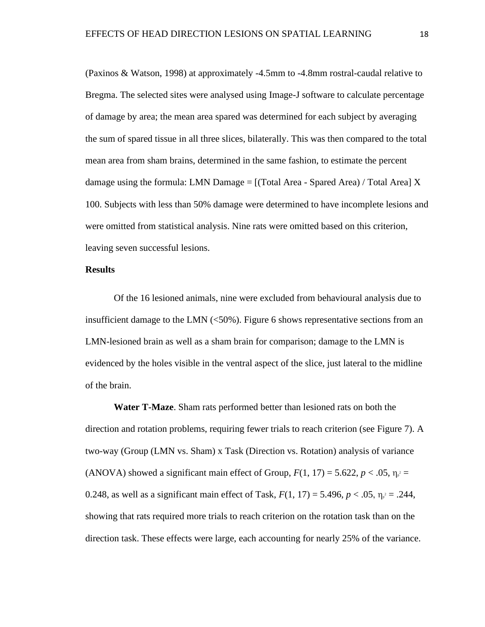(Paxinos & Watson, 1998) at approximately -4.5mm to -4.8mm rostral-caudal relative to Bregma. The selected sites were analysed using Image-J software to calculate percentage of damage by area; the mean area spared was determined for each subject by averaging the sum of spared tissue in all three slices, bilaterally. This was then compared to the total mean area from sham brains, determined in the same fashion, to estimate the percent damage using the formula: LMN Damage =  $[(Total Area - Spared Area) / Total Area] X$ 100. Subjects with less than 50% damage were determined to have incomplete lesions and were omitted from statistical analysis. Nine rats were omitted based on this criterion, leaving seven successful lesions.

#### **Results**

Of the 16 lesioned animals, nine were excluded from behavioural analysis due to insufficient damage to the LMN  $\left($  <50%). Figure 6 shows representative sections from an LMN-lesioned brain as well as a sham brain for comparison; damage to the LMN is evidenced by the holes visible in the ventral aspect of the slice, just lateral to the midline of the brain.

**Water T-Maze**. Sham rats performed better than lesioned rats on both the direction and rotation problems, requiring fewer trials to reach criterion (see Figure 7). A two-way (Group (LMN vs. Sham) x Task (Direction vs. Rotation) analysis of variance (ANOVA) showed a significant main effect of Group,  $F(1, 17) = 5.622$ ,  $p < .05$ ,  $\eta_{\rho} =$ 0.248, as well as a significant main effect of Task,  $F(1, 17) = 5.496$ ,  $p < .05$ ,  $\eta_{\rho} = .244$ , showing that rats required more trials to reach criterion on the rotation task than on the direction task. These effects were large, each accounting for nearly 25% of the variance.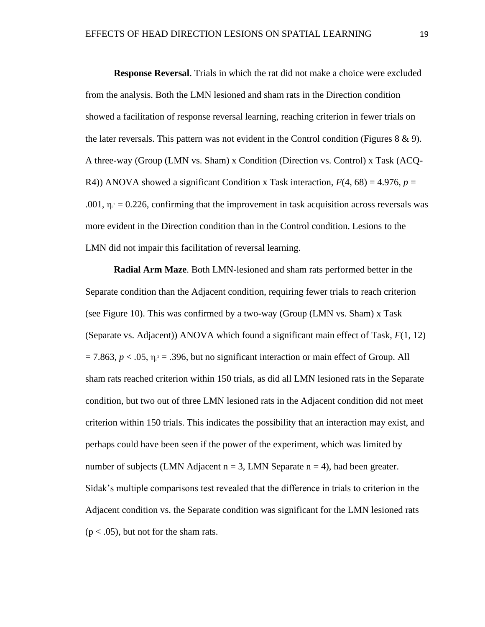**Response Reversal**. Trials in which the rat did not make a choice were excluded from the analysis. Both the LMN lesioned and sham rats in the Direction condition showed a facilitation of response reversal learning, reaching criterion in fewer trials on the later reversals. This pattern was not evident in the Control condition (Figures  $8 \& 9$ ). A three-way (Group (LMN vs. Sham) x Condition (Direction vs. Control) x Task (ACQ-R4)) ANOVA showed a significant Condition x Task interaction,  $F(4, 68) = 4.976$ ,  $p =$ .001,  $\eta_{\rho} = 0.226$ , confirming that the improvement in task acquisition across reversals was more evident in the Direction condition than in the Control condition. Lesions to the LMN did not impair this facilitation of reversal learning.

**Radial Arm Maze**. Both LMN-lesioned and sham rats performed better in the Separate condition than the Adjacent condition, requiring fewer trials to reach criterion (see Figure 10). This was confirmed by a two-way (Group (LMN vs. Sham) x Task (Separate vs. Adjacent)) ANOVA which found a significant main effect of Task, *F*(1, 12)  $= 7.863, p < .05, \eta_{p}^2 = .396$ , but no significant interaction or main effect of Group. All sham rats reached criterion within 150 trials, as did all LMN lesioned rats in the Separate condition, but two out of three LMN lesioned rats in the Adjacent condition did not meet criterion within 150 trials. This indicates the possibility that an interaction may exist, and perhaps could have been seen if the power of the experiment, which was limited by number of subjects (LMN Adjacent  $n = 3$ , LMN Separate  $n = 4$ ), had been greater. Sidak's multiple comparisons test revealed that the difference in trials to criterion in the Adjacent condition vs. the Separate condition was significant for the LMN lesioned rats  $(p < .05)$ , but not for the sham rats.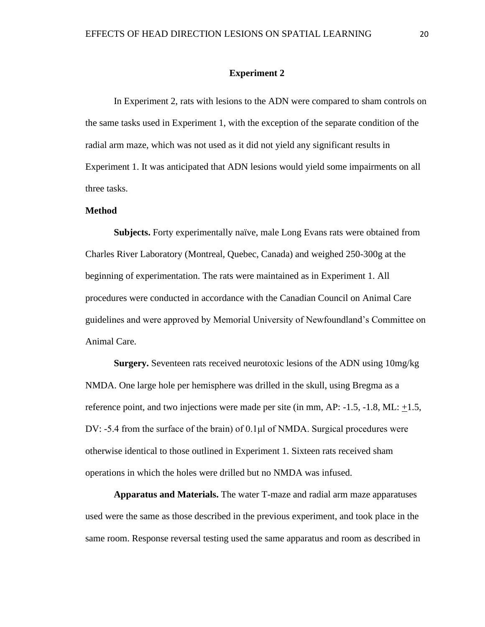#### **Experiment 2**

In Experiment 2, rats with lesions to the ADN were compared to sham controls on the same tasks used in Experiment 1, with the exception of the separate condition of the radial arm maze, which was not used as it did not yield any significant results in Experiment 1. It was anticipated that ADN lesions would yield some impairments on all three tasks.

#### **Method**

**Subjects.** Forty experimentally naïve, male Long Evans rats were obtained from Charles River Laboratory (Montreal, Quebec, Canada) and weighed 250-300g at the beginning of experimentation. The rats were maintained as in Experiment 1. All procedures were conducted in accordance with the Canadian Council on Animal Care guidelines and were approved by Memorial University of Newfoundland's Committee on Animal Care.

**Surgery.** Seventeen rats received neurotoxic lesions of the ADN using 10mg/kg NMDA. One large hole per hemisphere was drilled in the skull, using Bregma as a reference point, and two injections were made per site (in mm, AP: -1.5, -1.8, ML: +1.5, DV:  $-5.4$  from the surface of the brain) of  $0.1\mu$  of NMDA. Surgical procedures were otherwise identical to those outlined in Experiment 1. Sixteen rats received sham operations in which the holes were drilled but no NMDA was infused.

**Apparatus and Materials.** The water T-maze and radial arm maze apparatuses used were the same as those described in the previous experiment, and took place in the same room. Response reversal testing used the same apparatus and room as described in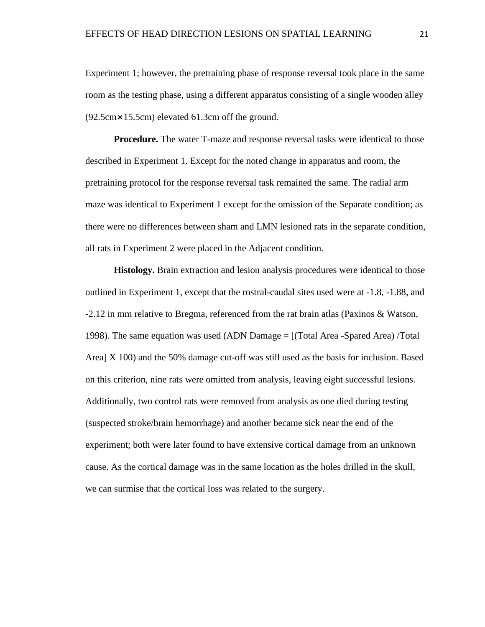Experiment 1; however, the pretraining phase of response reversal took place in the same room as the testing phase, using a different apparatus consisting of a single wooden alley  $(92.5cm \times 15.5cm)$  elevated 61.3cm off the ground.

**Procedure.** The water T-maze and response reversal tasks were identical to those described in Experiment 1. Except for the noted change in apparatus and room, the pretraining protocol for the response reversal task remained the same. The radial arm maze was identical to Experiment 1 except for the omission of the Separate condition; as there were no differences between sham and LMN lesioned rats in the separate condition, all rats in Experiment 2 were placed in the Adjacent condition.

**Histology.** Brain extraction and lesion analysis procedures were identical to those outlined in Experiment 1, except that the rostral-caudal sites used were at -1.8, -1.88, and -2.12 in mm relative to Bregma, referenced from the rat brain atlas (Paxinos & Watson, 1998). The same equation was used (ADN Damage = [(Total Area -Spared Area) /Total Area] X 100) and the 50% damage cut-off was still used as the basis for inclusion. Based on this criterion, nine rats were omitted from analysis, leaving eight successful lesions. Additionally, two control rats were removed from analysis as one died during testing (suspected stroke/brain hemorrhage) and another became sick near the end of the experiment; both were later found to have extensive cortical damage from an unknown cause. As the cortical damage was in the same location as the holes drilled in the skull, we can surmise that the cortical loss was related to the surgery.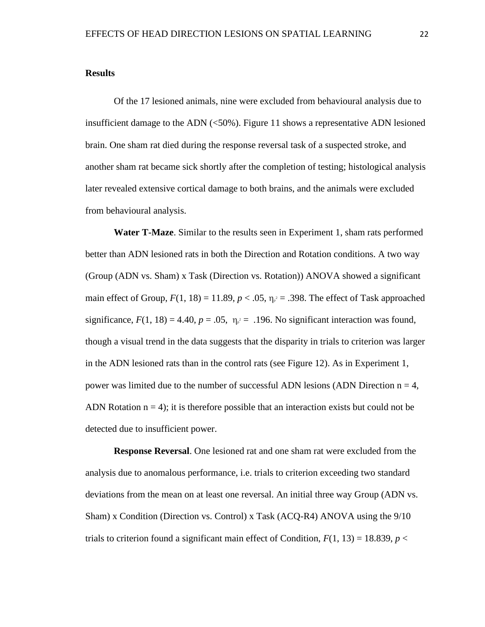#### **Results**

Of the 17 lesioned animals, nine were excluded from behavioural analysis due to insufficient damage to the ADN (<50%). Figure 11 shows a representative ADN lesioned brain. One sham rat died during the response reversal task of a suspected stroke, and another sham rat became sick shortly after the completion of testing; histological analysis later revealed extensive cortical damage to both brains, and the animals were excluded from behavioural analysis.

**Water T-Maze**. Similar to the results seen in Experiment 1, sham rats performed better than ADN lesioned rats in both the Direction and Rotation conditions. A two way (Group (ADN vs. Sham) x Task (Direction vs. Rotation)) ANOVA showed a significant main effect of Group,  $F(1, 18) = 11.89$ ,  $p < .05$ ,  $\eta_{p^2} = .398$ . The effect of Task approached significance,  $F(1, 18) = 4.40$ ,  $p = .05$ ,  $\eta_{p^2} = .196$ . No significant interaction was found, though a visual trend in the data suggests that the disparity in trials to criterion was larger in the ADN lesioned rats than in the control rats (see Figure 12). As in Experiment 1, power was limited due to the number of successful ADN lesions (ADN Direction  $n = 4$ , ADN Rotation  $n = 4$ ); it is therefore possible that an interaction exists but could not be detected due to insufficient power.

**Response Reversal**. One lesioned rat and one sham rat were excluded from the analysis due to anomalous performance, i.e. trials to criterion exceeding two standard deviations from the mean on at least one reversal. An initial three way Group (ADN vs. Sham) x Condition (Direction vs. Control) x Task (ACQ-R4) ANOVA using the 9/10 trials to criterion found a significant main effect of Condition,  $F(1, 13) = 18.839$ ,  $p <$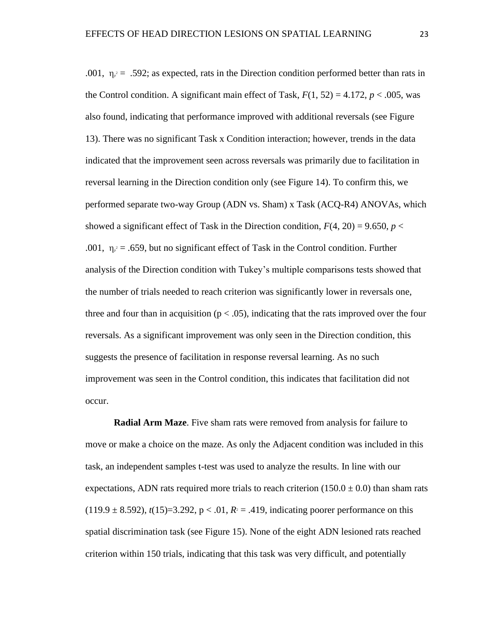.001,  $\eta_{\rho}^2$  = .592; as expected, rats in the Direction condition performed better than rats in the Control condition. A significant main effect of Task,  $F(1, 52) = 4.172$ ,  $p < .005$ , was also found, indicating that performance improved with additional reversals (see Figure 13). There was no significant Task x Condition interaction; however, trends in the data indicated that the improvement seen across reversals was primarily due to facilitation in reversal learning in the Direction condition only (see Figure 14). To confirm this, we performed separate two-way Group (ADN vs. Sham) x Task (ACQ-R4) ANOVAs, which showed a significant effect of Task in the Direction condition,  $F(4, 20) = 9.650$ ,  $p <$ .001,  $\eta_{\rho}^2 = .659$ , but no significant effect of Task in the Control condition. Further analysis of the Direction condition with Tukey's multiple comparisons tests showed that the number of trials needed to reach criterion was significantly lower in reversals one, three and four than in acquisition ( $p < .05$ ), indicating that the rats improved over the four reversals. As a significant improvement was only seen in the Direction condition, this suggests the presence of facilitation in response reversal learning. As no such improvement was seen in the Control condition, this indicates that facilitation did not occur.

**Radial Arm Maze**. Five sham rats were removed from analysis for failure to move or make a choice on the maze. As only the Adjacent condition was included in this task, an independent samples t-test was used to analyze the results. In line with our expectations, ADN rats required more trials to reach criterion  $(150.0 \pm 0.0)$  than sham rats  $(119.9 \pm 8.592)$ ,  $t(15)=3.292$ ,  $p < .01$ ,  $R<sup>2</sup> = .419$ , indicating poorer performance on this spatial discrimination task (see Figure 15). None of the eight ADN lesioned rats reached criterion within 150 trials, indicating that this task was very difficult, and potentially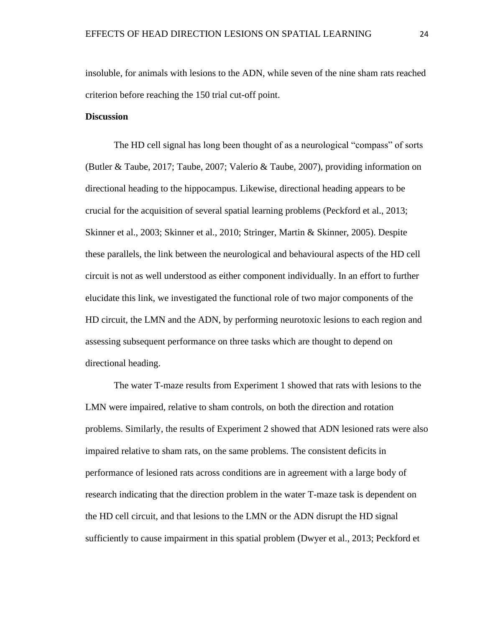insoluble, for animals with lesions to the ADN, while seven of the nine sham rats reached criterion before reaching the 150 trial cut-off point.

#### **Discussion**

The HD cell signal has long been thought of as a neurological "compass" of sorts (Butler & Taube, 2017; Taube, 2007; Valerio & Taube, 2007), providing information on directional heading to the hippocampus. Likewise, directional heading appears to be crucial for the acquisition of several spatial learning problems (Peckford et al., 2013; Skinner et al., 2003; Skinner et al., 2010; Stringer, Martin & Skinner, 2005). Despite these parallels, the link between the neurological and behavioural aspects of the HD cell circuit is not as well understood as either component individually. In an effort to further elucidate this link, we investigated the functional role of two major components of the HD circuit, the LMN and the ADN, by performing neurotoxic lesions to each region and assessing subsequent performance on three tasks which are thought to depend on directional heading.

The water T-maze results from Experiment 1 showed that rats with lesions to the LMN were impaired, relative to sham controls, on both the direction and rotation problems. Similarly, the results of Experiment 2 showed that ADN lesioned rats were also impaired relative to sham rats, on the same problems. The consistent deficits in performance of lesioned rats across conditions are in agreement with a large body of research indicating that the direction problem in the water T-maze task is dependent on the HD cell circuit, and that lesions to the LMN or the ADN disrupt the HD signal sufficiently to cause impairment in this spatial problem (Dwyer et al., 2013; Peckford et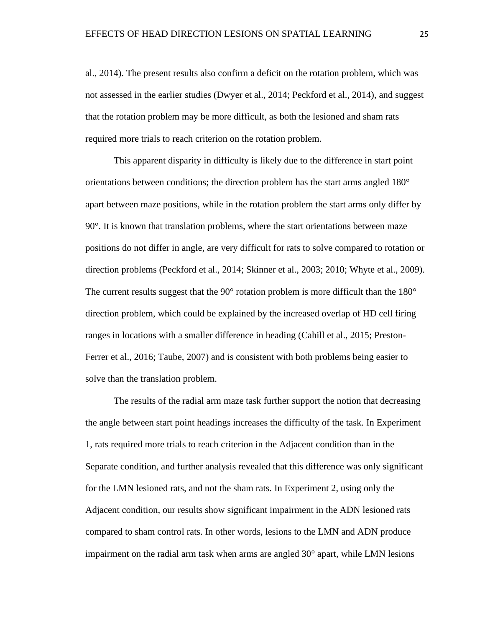al., 2014). The present results also confirm a deficit on the rotation problem, which was not assessed in the earlier studies (Dwyer et al., 2014; Peckford et al., 2014), and suggest that the rotation problem may be more difficult, as both the lesioned and sham rats required more trials to reach criterion on the rotation problem.

This apparent disparity in difficulty is likely due to the difference in start point orientations between conditions; the direction problem has the start arms angled 180° apart between maze positions, while in the rotation problem the start arms only differ by 90°. It is known that translation problems, where the start orientations between maze positions do not differ in angle, are very difficult for rats to solve compared to rotation or direction problems (Peckford et al., 2014; Skinner et al., 2003; 2010; Whyte et al., 2009). The current results suggest that the  $90^{\circ}$  rotation problem is more difficult than the  $180^{\circ}$ direction problem, which could be explained by the increased overlap of HD cell firing ranges in locations with a smaller difference in heading (Cahill et al., 2015; Preston-Ferrer et al., 2016; Taube, 2007) and is consistent with both problems being easier to solve than the translation problem.

The results of the radial arm maze task further support the notion that decreasing the angle between start point headings increases the difficulty of the task. In Experiment 1, rats required more trials to reach criterion in the Adjacent condition than in the Separate condition, and further analysis revealed that this difference was only significant for the LMN lesioned rats, and not the sham rats. In Experiment 2, using only the Adjacent condition, our results show significant impairment in the ADN lesioned rats compared to sham control rats. In other words, lesions to the LMN and ADN produce impairment on the radial arm task when arms are angled  $30^{\circ}$  apart, while LMN lesions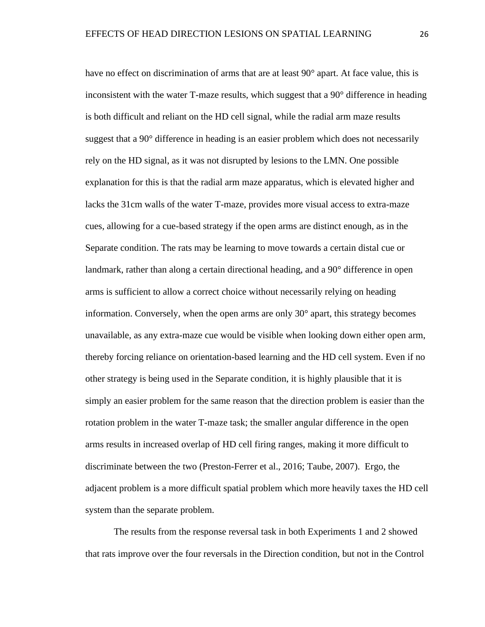have no effect on discrimination of arms that are at least 90° apart. At face value, this is inconsistent with the water T-maze results, which suggest that a 90° difference in heading is both difficult and reliant on the HD cell signal, while the radial arm maze results suggest that a 90° difference in heading is an easier problem which does not necessarily rely on the HD signal, as it was not disrupted by lesions to the LMN. One possible explanation for this is that the radial arm maze apparatus, which is elevated higher and lacks the 31cm walls of the water T-maze, provides more visual access to extra-maze cues, allowing for a cue-based strategy if the open arms are distinct enough, as in the Separate condition. The rats may be learning to move towards a certain distal cue or landmark, rather than along a certain directional heading, and a 90° difference in open arms is sufficient to allow a correct choice without necessarily relying on heading information. Conversely, when the open arms are only 30° apart, this strategy becomes unavailable, as any extra-maze cue would be visible when looking down either open arm, thereby forcing reliance on orientation-based learning and the HD cell system. Even if no other strategy is being used in the Separate condition, it is highly plausible that it is simply an easier problem for the same reason that the direction problem is easier than the rotation problem in the water T-maze task; the smaller angular difference in the open arms results in increased overlap of HD cell firing ranges, making it more difficult to discriminate between the two (Preston-Ferrer et al., 2016; Taube, 2007). Ergo, the adjacent problem is a more difficult spatial problem which more heavily taxes the HD cell system than the separate problem.

The results from the response reversal task in both Experiments 1 and 2 showed that rats improve over the four reversals in the Direction condition, but not in the Control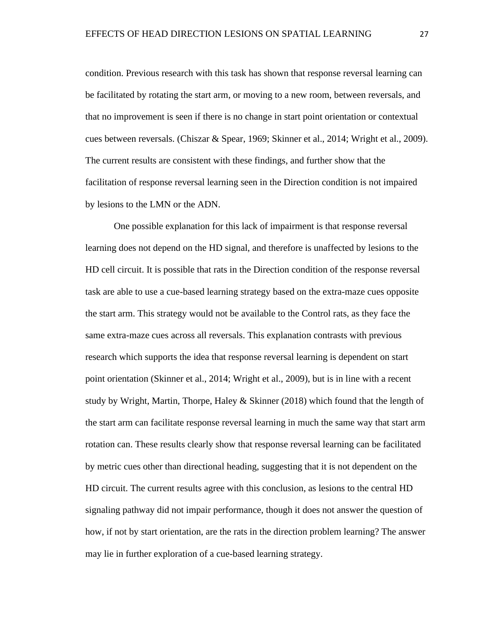condition. Previous research with this task has shown that response reversal learning can be facilitated by rotating the start arm, or moving to a new room, between reversals, and that no improvement is seen if there is no change in start point orientation or contextual cues between reversals. (Chiszar & Spear, 1969; Skinner et al., 2014; Wright et al., 2009). The current results are consistent with these findings, and further show that the facilitation of response reversal learning seen in the Direction condition is not impaired by lesions to the LMN or the ADN.

One possible explanation for this lack of impairment is that response reversal learning does not depend on the HD signal, and therefore is unaffected by lesions to the HD cell circuit. It is possible that rats in the Direction condition of the response reversal task are able to use a cue-based learning strategy based on the extra-maze cues opposite the start arm. This strategy would not be available to the Control rats, as they face the same extra-maze cues across all reversals. This explanation contrasts with previous research which supports the idea that response reversal learning is dependent on start point orientation (Skinner et al., 2014; Wright et al., 2009), but is in line with a recent study by Wright, Martin, Thorpe, Haley & Skinner (2018) which found that the length of the start arm can facilitate response reversal learning in much the same way that start arm rotation can. These results clearly show that response reversal learning can be facilitated by metric cues other than directional heading, suggesting that it is not dependent on the HD circuit. The current results agree with this conclusion, as lesions to the central HD signaling pathway did not impair performance, though it does not answer the question of how, if not by start orientation, are the rats in the direction problem learning? The answer may lie in further exploration of a cue-based learning strategy.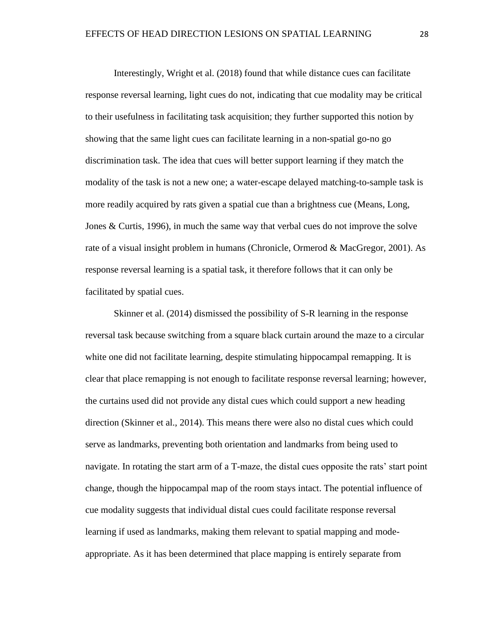Interestingly, Wright et al. (2018) found that while distance cues can facilitate response reversal learning, light cues do not, indicating that cue modality may be critical to their usefulness in facilitating task acquisition; they further supported this notion by showing that the same light cues can facilitate learning in a non-spatial go-no go discrimination task. The idea that cues will better support learning if they match the modality of the task is not a new one; a water-escape delayed matching-to-sample task is more readily acquired by rats given a spatial cue than a brightness cue (Means, Long, Jones & Curtis, 1996), in much the same way that verbal cues do not improve the solve rate of a visual insight problem in humans (Chronicle, Ormerod & MacGregor, 2001). As response reversal learning is a spatial task, it therefore follows that it can only be facilitated by spatial cues.

Skinner et al. (2014) dismissed the possibility of S-R learning in the response reversal task because switching from a square black curtain around the maze to a circular white one did not facilitate learning, despite stimulating hippocampal remapping. It is clear that place remapping is not enough to facilitate response reversal learning; however, the curtains used did not provide any distal cues which could support a new heading direction (Skinner et al., 2014). This means there were also no distal cues which could serve as landmarks, preventing both orientation and landmarks from being used to navigate. In rotating the start arm of a T-maze, the distal cues opposite the rats' start point change, though the hippocampal map of the room stays intact. The potential influence of cue modality suggests that individual distal cues could facilitate response reversal learning if used as landmarks, making them relevant to spatial mapping and modeappropriate. As it has been determined that place mapping is entirely separate from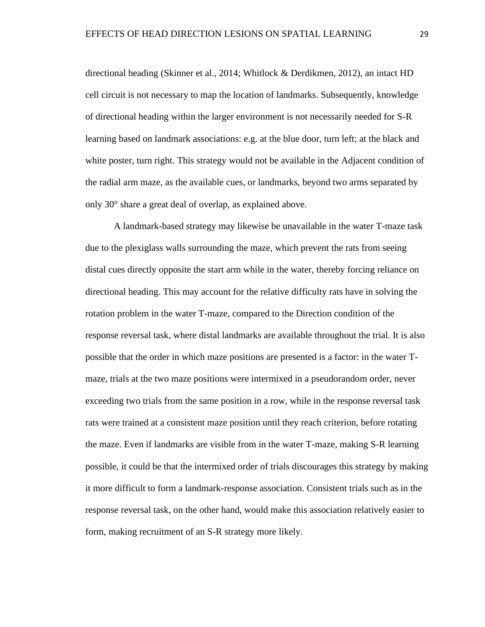directional heading (Skinner et al., 2014; Whitlock & Derdikmen, 2012), an intact HD cell circuit is not necessary to map the location of landmarks. Subsequently, knowledge of directional heading within the larger environment is not necessarily needed for S-R learning based on landmark associations: e.g. at the blue door, turn left; at the black and white poster, turn right. This strategy would not be available in the Adjacent condition of the radial arm maze, as the available cues, or landmarks, beyond two arms separated by only 30° share a great deal of overlap, as explained above.

A landmark-based strategy may likewise be unavailable in the water T-maze task due to the plexiglass walls surrounding the maze, which prevent the rats from seeing distal cues directly opposite the start arm while in the water, thereby forcing reliance on directional heading. This may account for the relative difficulty rats have in solving the rotation problem in the water T-maze, compared to the Direction condition of the response reversal task, where distal landmarks are available throughout the trial. It is also possible that the order in which maze positions are presented is a factor: in the water Tmaze, trials at the two maze positions were intermixed in a pseudorandom order, never exceeding two trials from the same position in a row, while in the response reversal task rats were trained at a consistent maze position until they reach criterion, before rotating the maze. Even if landmarks are visible from in the water T-maze, making S-R learning possible, it could be that the intermixed order of trials discourages this strategy by making it more difficult to form a landmark-response association. Consistent trials such as in the response reversal task, on the other hand, would make this association relatively easier to form, making recruitment of an S-R strategy more likely.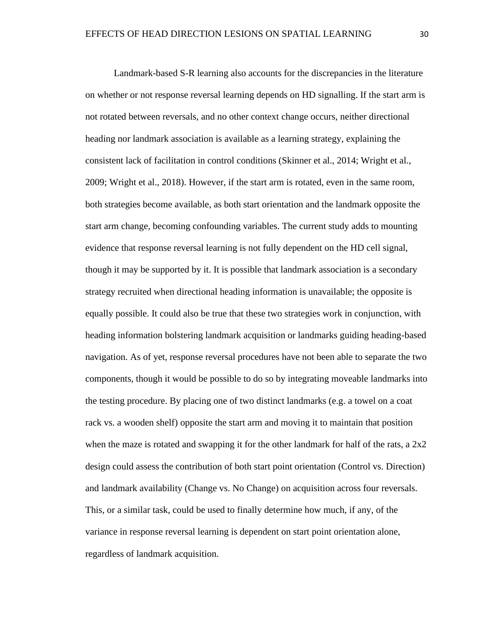Landmark-based S-R learning also accounts for the discrepancies in the literature on whether or not response reversal learning depends on HD signalling. If the start arm is not rotated between reversals, and no other context change occurs, neither directional heading nor landmark association is available as a learning strategy, explaining the consistent lack of facilitation in control conditions (Skinner et al., 2014; Wright et al., 2009; Wright et al., 2018). However, if the start arm is rotated, even in the same room, both strategies become available, as both start orientation and the landmark opposite the start arm change, becoming confounding variables. The current study adds to mounting evidence that response reversal learning is not fully dependent on the HD cell signal, though it may be supported by it. It is possible that landmark association is a secondary strategy recruited when directional heading information is unavailable; the opposite is equally possible. It could also be true that these two strategies work in conjunction, with heading information bolstering landmark acquisition or landmarks guiding heading-based navigation. As of yet, response reversal procedures have not been able to separate the two components, though it would be possible to do so by integrating moveable landmarks into the testing procedure. By placing one of two distinct landmarks (e.g. a towel on a coat rack vs. a wooden shelf) opposite the start arm and moving it to maintain that position when the maze is rotated and swapping it for the other landmark for half of the rats, a  $2x2$ design could assess the contribution of both start point orientation (Control vs. Direction) and landmark availability (Change vs. No Change) on acquisition across four reversals. This, or a similar task, could be used to finally determine how much, if any, of the variance in response reversal learning is dependent on start point orientation alone, regardless of landmark acquisition.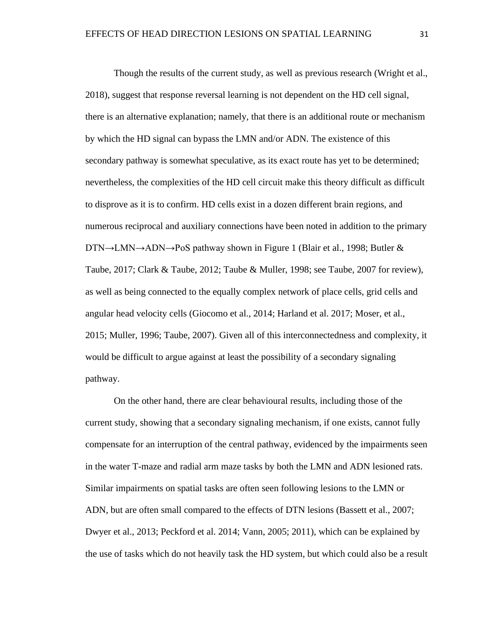Though the results of the current study, as well as previous research (Wright et al., 2018), suggest that response reversal learning is not dependent on the HD cell signal, there is an alternative explanation; namely, that there is an additional route or mechanism by which the HD signal can bypass the LMN and/or ADN. The existence of this secondary pathway is somewhat speculative, as its exact route has yet to be determined; nevertheless, the complexities of the HD cell circuit make this theory difficult as difficult to disprove as it is to confirm. HD cells exist in a dozen different brain regions, and numerous reciprocal and auxiliary connections have been noted in addition to the primary DTN→LMN→ADN→PoS pathway shown in Figure 1 (Blair et al., 1998; Butler & Taube, 2017; Clark & Taube, 2012; Taube & Muller, 1998; see Taube, 2007 for review), as well as being connected to the equally complex network of place cells, grid cells and angular head velocity cells (Giocomo et al., 2014; Harland et al. 2017; Moser, et al., 2015; Muller, 1996; Taube, 2007). Given all of this interconnectedness and complexity, it would be difficult to argue against at least the possibility of a secondary signaling pathway.

On the other hand, there are clear behavioural results, including those of the current study, showing that a secondary signaling mechanism, if one exists, cannot fully compensate for an interruption of the central pathway, evidenced by the impairments seen in the water T-maze and radial arm maze tasks by both the LMN and ADN lesioned rats. Similar impairments on spatial tasks are often seen following lesions to the LMN or ADN, but are often small compared to the effects of DTN lesions (Bassett et al., 2007; Dwyer et al., 2013; Peckford et al. 2014; Vann, 2005; 2011), which can be explained by the use of tasks which do not heavily task the HD system, but which could also be a result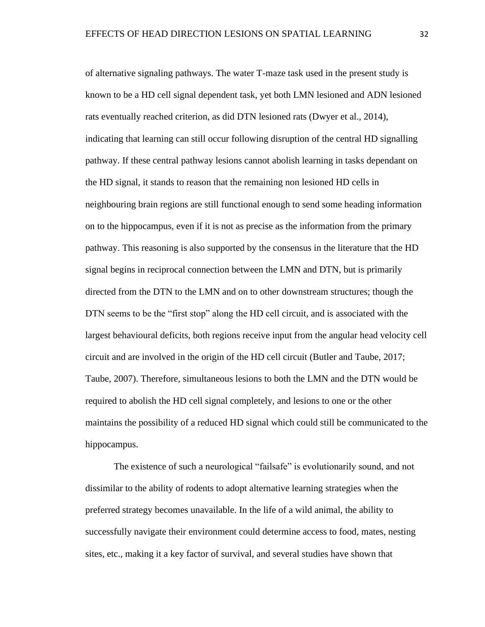of alternative signaling pathways. The water T-maze task used in the present study is known to be a HD cell signal dependent task, yet both LMN lesioned and ADN lesioned rats eventually reached criterion, as did DTN lesioned rats (Dwyer et al., 2014), indicating that learning can still occur following disruption of the central HD signalling pathway. If these central pathway lesions cannot abolish learning in tasks dependant on the HD signal, it stands to reason that the remaining non lesioned HD cells in neighbouring brain regions are still functional enough to send some heading information on to the hippocampus, even if it is not as precise as the information from the primary pathway. This reasoning is also supported by the consensus in the literature that the HD signal begins in reciprocal connection between the LMN and DTN, but is primarily directed from the DTN to the LMN and on to other downstream structures; though the DTN seems to be the "first stop" along the HD cell circuit, and is associated with the largest behavioural deficits, both regions receive input from the angular head velocity cell circuit and are involved in the origin of the HD cell circuit (Butler and Taube, 2017; Taube, 2007). Therefore, simultaneous lesions to both the LMN and the DTN would be required to abolish the HD cell signal completely, and lesions to one or the other maintains the possibility of a reduced HD signal which could still be communicated to the hippocampus.

The existence of such a neurological "failsafe" is evolutionarily sound, and not dissimilar to the ability of rodents to adopt alternative learning strategies when the preferred strategy becomes unavailable. In the life of a wild animal, the ability to successfully navigate their environment could determine access to food, mates, nesting sites, etc., making it a key factor of survival, and several studies have shown that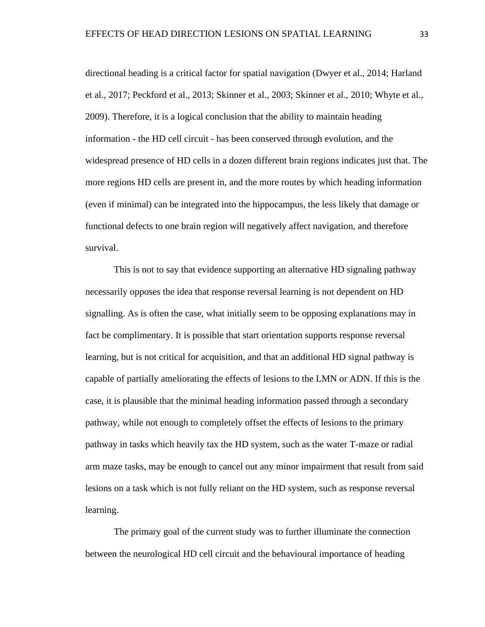directional heading is a critical factor for spatial navigation (Dwyer et al., 2014; Harland et al., 2017; Peckford et al., 2013; Skinner et al., 2003; Skinner et al., 2010; Whyte et al., 2009). Therefore, it is a logical conclusion that the ability to maintain heading information - the HD cell circuit - has been conserved through evolution, and the widespread presence of HD cells in a dozen different brain regions indicates just that. The more regions HD cells are present in, and the more routes by which heading information (even if minimal) can be integrated into the hippocampus, the less likely that damage or functional defects to one brain region will negatively affect navigation, and therefore survival.

This is not to say that evidence supporting an alternative HD signaling pathway necessarily opposes the idea that response reversal learning is not dependent on HD signalling. As is often the case, what initially seem to be opposing explanations may in fact be complimentary. It is possible that start orientation supports response reversal learning, but is not critical for acquisition, and that an additional HD signal pathway is capable of partially ameliorating the effects of lesions to the LMN or ADN. If this is the case, it is plausible that the minimal heading information passed through a secondary pathway, while not enough to completely offset the effects of lesions to the primary pathway in tasks which heavily tax the HD system, such as the water T-maze or radial arm maze tasks, may be enough to cancel out any minor impairment that result from said lesions on a task which is not fully reliant on the HD system, such as response reversal learning.

The primary goal of the current study was to further illuminate the connection between the neurological HD cell circuit and the behavioural importance of heading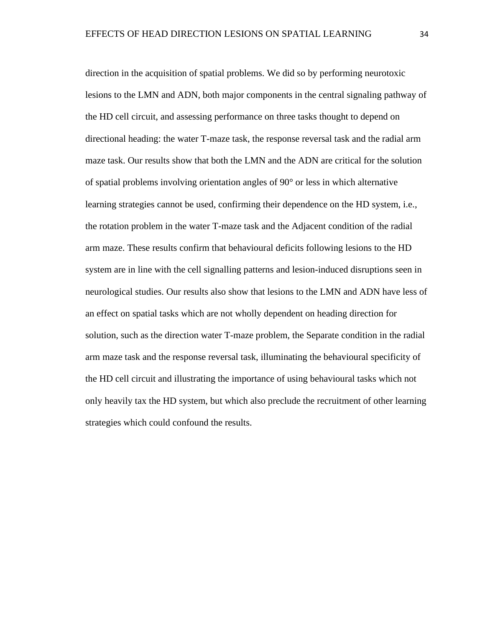direction in the acquisition of spatial problems. We did so by performing neurotoxic lesions to the LMN and ADN, both major components in the central signaling pathway of the HD cell circuit, and assessing performance on three tasks thought to depend on directional heading: the water T-maze task, the response reversal task and the radial arm maze task. Our results show that both the LMN and the ADN are critical for the solution of spatial problems involving orientation angles of 90° or less in which alternative learning strategies cannot be used, confirming their dependence on the HD system, i.e., the rotation problem in the water T-maze task and the Adjacent condition of the radial arm maze. These results confirm that behavioural deficits following lesions to the HD system are in line with the cell signalling patterns and lesion-induced disruptions seen in neurological studies. Our results also show that lesions to the LMN and ADN have less of an effect on spatial tasks which are not wholly dependent on heading direction for solution, such as the direction water T-maze problem, the Separate condition in the radial arm maze task and the response reversal task, illuminating the behavioural specificity of the HD cell circuit and illustrating the importance of using behavioural tasks which not only heavily tax the HD system, but which also preclude the recruitment of other learning strategies which could confound the results.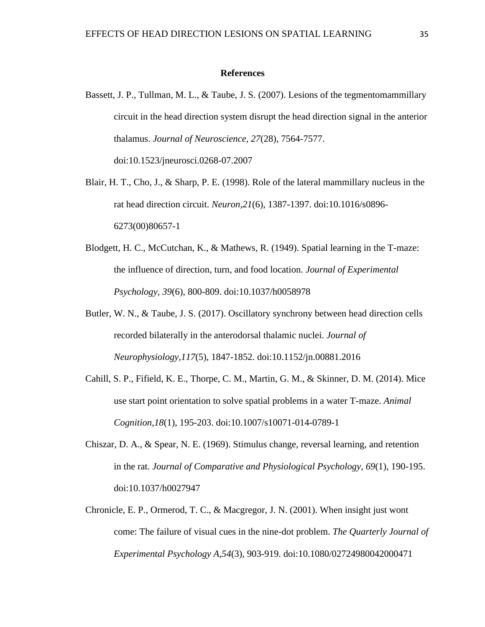#### **References**

- Bassett, J. P., Tullman, M. L., & Taube, J. S. (2007). Lesions of the tegmentomammillary circuit in the head direction system disrupt the head direction signal in the anterior thalamus. *Journal of Neuroscience, 27*(28), 7564-7577. doi:10.1523/jneurosci.0268-07.2007
- Blair, H. T., Cho, J., & Sharp, P. E. (1998). Role of the lateral mammillary nucleus in the rat head direction circuit. *Neuron,21*(6), 1387-1397. doi:10.1016/s0896- 6273(00)80657-1
- Blodgett, H. C., McCutchan, K., & Mathews, R. (1949). Spatial learning in the T-maze: the influence of direction, turn, and food location. *Journal of Experimental Psychology, 39*(6), 800-809. doi:10.1037/h0058978
- Butler, W. N., & Taube, J. S. (2017). Oscillatory synchrony between head direction cells recorded bilaterally in the anterodorsal thalamic nuclei. *Journal of Neurophysiology,117*(5), 1847-1852. doi:10.1152/jn.00881.2016
- Cahill, S. P., Fifield, K. E., Thorpe, C. M., Martin, G. M., & Skinner, D. M. (2014). Mice use start point orientation to solve spatial problems in a water T-maze. *Animal Cognition,18*(1), 195-203. doi:10.1007/s10071-014-0789-1
- Chiszar, D. A., & Spear, N. E. (1969). Stimulus change, reversal learning, and retention in the rat. *Journal of Comparative and Physiological Psychology, 69*(1), 190-195. doi:10.1037/h0027947
- Chronicle, E. P., Ormerod, T. C., & Macgregor, J. N. (2001). When insight just wont come: The failure of visual cues in the nine-dot problem. *The Quarterly Journal of Experimental Psychology A,54*(3), 903-919. doi:10.1080/02724980042000471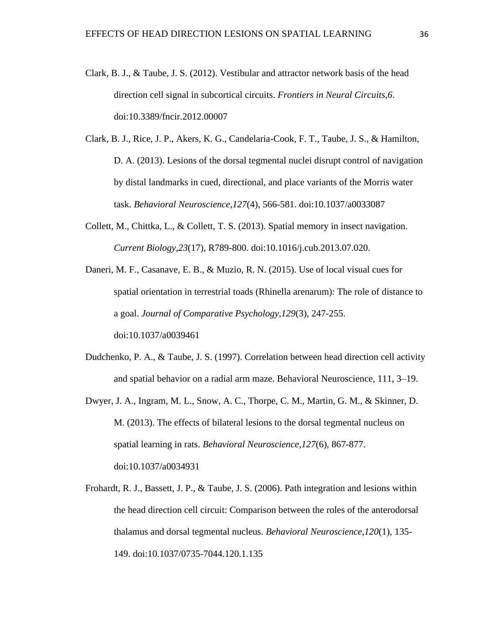- Clark, B. J., & Taube, J. S. (2012). Vestibular and attractor network basis of the head direction cell signal in subcortical circuits. *Frontiers in Neural Circuits,6*. doi:10.3389/fncir.2012.00007
- Clark, B. J., Rice, J. P., Akers, K. G., Candelaria-Cook, F. T., Taube, J. S., & Hamilton, D. A. (2013). Lesions of the dorsal tegmental nuclei disrupt control of navigation by distal landmarks in cued, directional, and place variants of the Morris water task. *Behavioral Neuroscience,127*(4), 566-581. doi:10.1037/a0033087
- Collett, M., Chittka, L., & Collett, T. S. (2013). Spatial memory in insect navigation. *Current Biology,23*(17), R789-800. doi:10.1016/j.cub.2013.07.020.
- Daneri, M. F., Casanave, E. B., & Muzio, R. N. (2015). Use of local visual cues for spatial orientation in terrestrial toads (Rhinella arenarum): The role of distance to a goal. *Journal of Comparative Psychology,129*(3), 247-255. doi:10.1037/a0039461
- Dudchenko, P. A., & Taube, J. S. (1997). Correlation between head direction cell activity and spatial behavior on a radial arm maze. Behavioral Neuroscience, 111, 3–19.
- Dwyer, J. A., Ingram, M. L., Snow, A. C., Thorpe, C. M., Martin, G. M., & Skinner, D. M. (2013). The effects of bilateral lesions to the dorsal tegmental nucleus on spatial learning in rats. *Behavioral Neuroscience,127*(6), 867-877. doi:10.1037/a0034931
- Frohardt, R. J., Bassett, J. P., & Taube, J. S. (2006). Path integration and lesions within the head direction cell circuit: Comparison between the roles of the anterodorsal thalamus and dorsal tegmental nucleus. *Behavioral Neuroscience,120*(1), 135- 149. doi:10.1037/0735-7044.120.1.135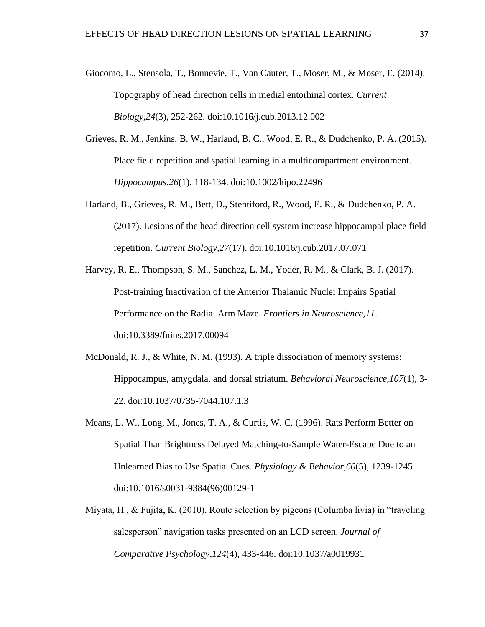- Giocomo, L., Stensola, T., Bonnevie, T., Van Cauter, T., Moser, M., & Moser, E. (2014). Topography of head direction cells in medial entorhinal cortex. *Current Biology,24*(3), 252-262. doi:10.1016/j.cub.2013.12.002
- Grieves, R. M., Jenkins, B. W., Harland, B. C., Wood, E. R., & Dudchenko, P. A. (2015). Place field repetition and spatial learning in a multicompartment environment. *Hippocampus,26*(1), 118-134. doi:10.1002/hipo.22496
- Harland, B., Grieves, R. M., Bett, D., Stentiford, R., Wood, E. R., & Dudchenko, P. A. (2017). Lesions of the head direction cell system increase hippocampal place field repetition. *Current Biology,27*(17). doi:10.1016/j.cub.2017.07.071
- Harvey, R. E., Thompson, S. M., Sanchez, L. M., Yoder, R. M., & Clark, B. J. (2017). Post-training Inactivation of the Anterior Thalamic Nuclei Impairs Spatial Performance on the Radial Arm Maze. *Frontiers in Neuroscience,11*. doi:10.3389/fnins.2017.00094
- McDonald, R. J., & White, N. M. (1993). A triple dissociation of memory systems: Hippocampus, amygdala, and dorsal striatum. *Behavioral Neuroscience,107*(1), 3- 22. doi:10.1037/0735-7044.107.1.3
- Means, L. W., Long, M., Jones, T. A., & Curtis, W. C. (1996). Rats Perform Better on Spatial Than Brightness Delayed Matching-to-Sample Water-Escape Due to an Unlearned Bias to Use Spatial Cues. *Physiology & Behavior,60*(5), 1239-1245. doi:10.1016/s0031-9384(96)00129-1
- Miyata, H., & Fujita, K. (2010). Route selection by pigeons (Columba livia) in "traveling salesperson" navigation tasks presented on an LCD screen. *Journal of Comparative Psychology,124*(4), 433-446. doi:10.1037/a0019931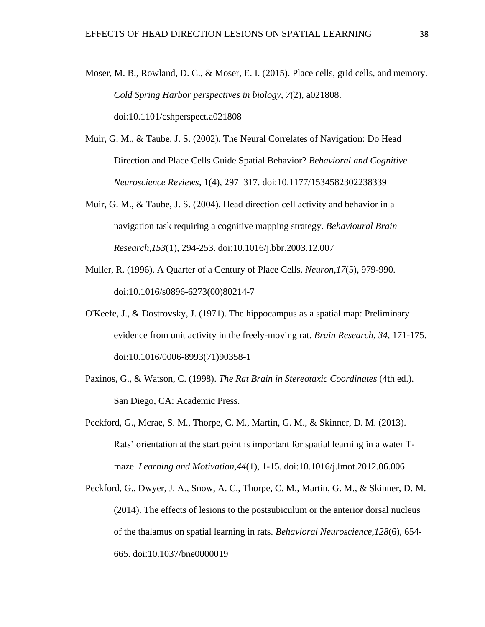- Moser, M. B., Rowland, D. C., & Moser, E. I. (2015). Place cells, grid cells, and memory. *Cold Spring Harbor perspectives in biology*, *7*(2), a021808. doi:10.1101/cshperspect.a021808
- Muir, G. M., & Taube, J. S. (2002). The Neural Correlates of Navigation: Do Head Direction and Place Cells Guide Spatial Behavior? *Behavioral and Cognitive Neuroscience Reviews*, 1(4), 297–317. doi:10.1177/1534582302238339
- Muir, G. M., & Taube, J. S. (2004). Head direction cell activity and behavior in a navigation task requiring a cognitive mapping strategy. *Behavioural Brain Research,153*(1), 294-253. doi:10.1016/j.bbr.2003.12.007
- Muller, R. (1996). A Quarter of a Century of Place Cells. *Neuron,17*(5), 979-990. doi:10.1016/s0896-6273(00)80214-7
- O'Keefe, J., & Dostrovsky, J. (1971). The hippocampus as a spatial map: Preliminary evidence from unit activity in the freely-moving rat. *Brain Research, 34,* 171-175. doi:10.1016/0006-8993(71)90358-1
- Paxinos, G., & Watson, C. (1998). *The Rat Brain in Stereotaxic Coordinates* (4th ed.). San Diego, CA: Academic Press.
- Peckford, G., Mcrae, S. M., Thorpe, C. M., Martin, G. M., & Skinner, D. M. (2013). Rats' orientation at the start point is important for spatial learning in a water Tmaze. *Learning and Motivation,44*(1), 1-15. doi:10.1016/j.lmot.2012.06.006
- Peckford, G., Dwyer, J. A., Snow, A. C., Thorpe, C. M., Martin, G. M., & Skinner, D. M. (2014). The effects of lesions to the postsubiculum or the anterior dorsal nucleus of the thalamus on spatial learning in rats. *Behavioral Neuroscience,128*(6), 654- 665. doi:10.1037/bne0000019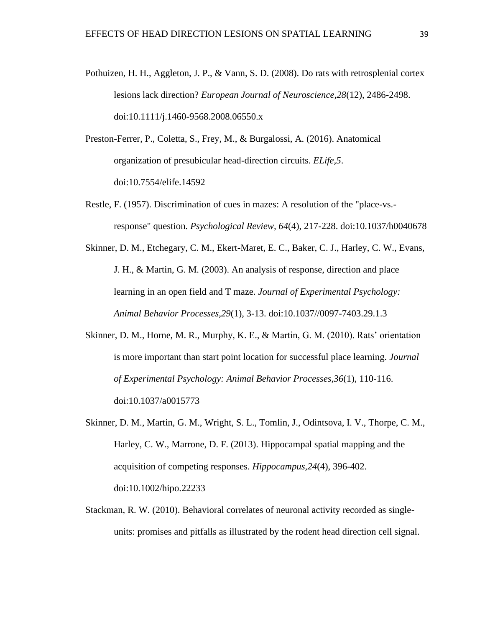- Pothuizen, H. H., Aggleton, J. P., & Vann, S. D. (2008). Do rats with retrosplenial cortex lesions lack direction? *European Journal of Neuroscience,28*(12), 2486-2498. doi:10.1111/j.1460-9568.2008.06550.x
- Preston-Ferrer, P., Coletta, S., Frey, M., & Burgalossi, A. (2016). Anatomical organization of presubicular head-direction circuits. *ELife,5*. doi:10.7554/elife.14592
- Restle, F. (1957). Discrimination of cues in mazes: A resolution of the "place-vs. response" question. *Psychological Review, 64*(4), 217-228. doi:10.1037/h0040678
- Skinner, D. M., Etchegary, C. M., Ekert-Maret, E. C., Baker, C. J., Harley, C. W., Evans, J. H., & Martin, G. M. (2003). An analysis of response, direction and place learning in an open field and T maze. *Journal of Experimental Psychology: Animal Behavior Processes,29*(1), 3-13. doi:10.1037//0097-7403.29.1.3
- Skinner, D. M., Horne, M. R., Murphy, K. E., & Martin, G. M. (2010). Rats' orientation is more important than start point location for successful place learning. *Journal of Experimental Psychology: Animal Behavior Processes,36*(1), 110-116. doi:10.1037/a0015773
- Skinner, D. M., Martin, G. M., Wright, S. L., Tomlin, J., Odintsova, I. V., Thorpe, C. M., Harley, C. W., Marrone, D. F. (2013). Hippocampal spatial mapping and the acquisition of competing responses. *Hippocampus,24*(4), 396-402. doi:10.1002/hipo.22233
- Stackman, R. W. (2010). Behavioral correlates of neuronal activity recorded as singleunits: promises and pitfalls as illustrated by the rodent head direction cell signal.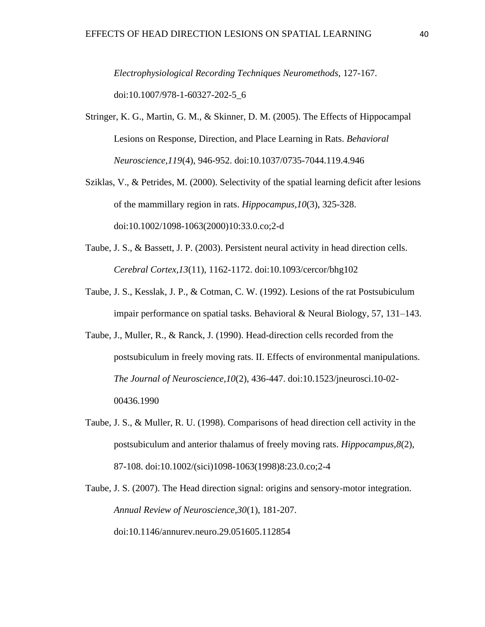*Electrophysiological Recording Techniques Neuromethods,* 127-167. doi:10.1007/978-1-60327-202-5\_6

- Stringer, K. G., Martin, G. M., & Skinner, D. M. (2005). The Effects of Hippocampal Lesions on Response, Direction, and Place Learning in Rats. *Behavioral Neuroscience,119*(4), 946-952. doi:10.1037/0735-7044.119.4.946
- Sziklas, V., & Petrides, M. (2000). Selectivity of the spatial learning deficit after lesions of the mammillary region in rats. *Hippocampus,10*(3), 325-328. doi:10.1002/1098-1063(2000)10:33.0.co;2-d
- Taube, J. S., & Bassett, J. P. (2003). Persistent neural activity in head direction cells. *Cerebral Cortex,13*(11), 1162-1172. doi:10.1093/cercor/bhg102
- Taube, J. S., Kesslak, J. P., & Cotman, C. W. (1992). Lesions of the rat Postsubiculum impair performance on spatial tasks. Behavioral & Neural Biology, 57, 131–143.
- Taube, J., Muller, R., & Ranck, J. (1990). Head-direction cells recorded from the postsubiculum in freely moving rats. II. Effects of environmental manipulations. *The Journal of Neuroscience,10*(2), 436-447. doi:10.1523/jneurosci.10-02- 00436.1990
- Taube, J. S., & Muller, R. U. (1998). Comparisons of head direction cell activity in the postsubiculum and anterior thalamus of freely moving rats. *Hippocampus,8*(2), 87-108. doi:10.1002/(sici)1098-1063(1998)8:23.0.co;2-4

Taube, J. S. (2007). The Head direction signal: origins and sensory-motor integration. *Annual Review of Neuroscience,30*(1), 181-207. doi:10.1146/annurev.neuro.29.051605.112854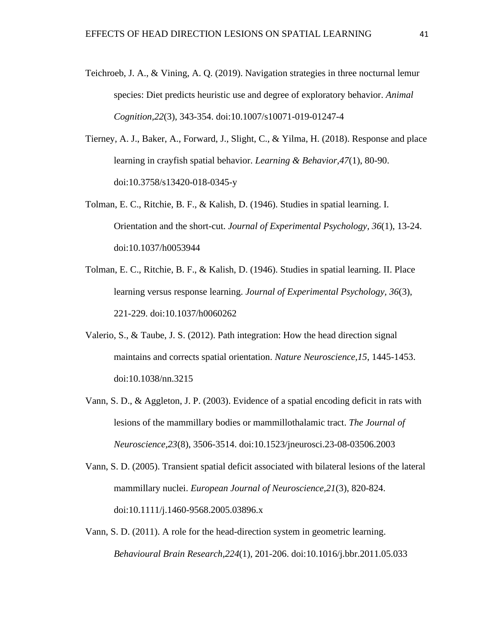- Teichroeb, J. A., & Vining, A. Q. (2019). Navigation strategies in three nocturnal lemur species: Diet predicts heuristic use and degree of exploratory behavior. *Animal Cognition,22*(3), 343-354. doi:10.1007/s10071-019-01247-4
- Tierney, A. J., Baker, A., Forward, J., Slight, C., & Yilma, H. (2018). Response and place learning in crayfish spatial behavior. *Learning & Behavior,47*(1), 80-90. doi:10.3758/s13420-018-0345-y
- Tolman, E. C., Ritchie, B. F., & Kalish, D. (1946). Studies in spatial learning. I. Orientation and the short-cut. *Journal of Experimental Psychology, 36*(1), 13-24. doi:10.1037/h0053944
- Tolman, E. C., Ritchie, B. F., & Kalish, D. (1946). Studies in spatial learning. II. Place learning versus response learning. *Journal of Experimental Psychology, 36*(3), 221-229. doi:10.1037/h0060262
- Valerio, S., & Taube, J. S. (2012). Path integration: How the head direction signal maintains and corrects spatial orientation. *Nature Neuroscience,15*, 1445-1453. doi:10.1038/nn.3215
- Vann, S. D., & Aggleton, J. P. (2003). Evidence of a spatial encoding deficit in rats with lesions of the mammillary bodies or mammillothalamic tract. *The Journal of Neuroscience,23*(8), 3506-3514. doi:10.1523/jneurosci.23-08-03506.2003
- Vann, S. D. (2005). Transient spatial deficit associated with bilateral lesions of the lateral mammillary nuclei. *European Journal of Neuroscience,21*(3), 820-824. doi:10.1111/j.1460-9568.2005.03896.x
- Vann, S. D. (2011). A role for the head-direction system in geometric learning. *Behavioural Brain Research,224*(1), 201-206. doi:10.1016/j.bbr.2011.05.033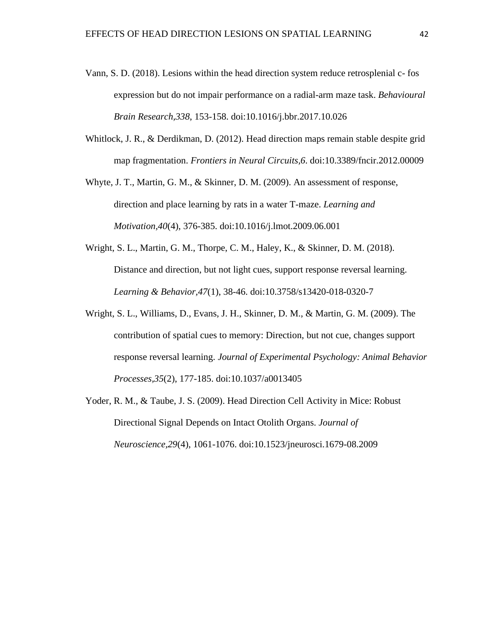- Vann, S. D. (2018). Lesions within the head direction system reduce retrosplenial c- fos expression but do not impair performance on a radial-arm maze task. *Behavioural Brain Research,338*, 153-158. doi:10.1016/j.bbr.2017.10.026
- Whitlock, J. R., & Derdikman, D. (2012). Head direction maps remain stable despite grid map fragmentation. *Frontiers in Neural Circuits,6*. doi:10.3389/fncir.2012.00009
- Whyte, J. T., Martin, G. M., & Skinner, D. M. (2009). An assessment of response, direction and place learning by rats in a water T-maze. *Learning and Motivation,40*(4), 376-385. doi:10.1016/j.lmot.2009.06.001
- Wright, S. L., Martin, G. M., Thorpe, C. M., Haley, K., & Skinner, D. M. (2018). Distance and direction, but not light cues, support response reversal learning. *Learning & Behavior,47*(1), 38-46. doi:10.3758/s13420-018-0320-7
- Wright, S. L., Williams, D., Evans, J. H., Skinner, D. M., & Martin, G. M. (2009). The contribution of spatial cues to memory: Direction, but not cue, changes support response reversal learning. *Journal of Experimental Psychology: Animal Behavior Processes,35*(2), 177-185. doi:10.1037/a0013405
- Yoder, R. M., & Taube, J. S. (2009). Head Direction Cell Activity in Mice: Robust Directional Signal Depends on Intact Otolith Organs. *Journal of Neuroscience,29*(4), 1061-1076. doi:10.1523/jneurosci.1679-08.2009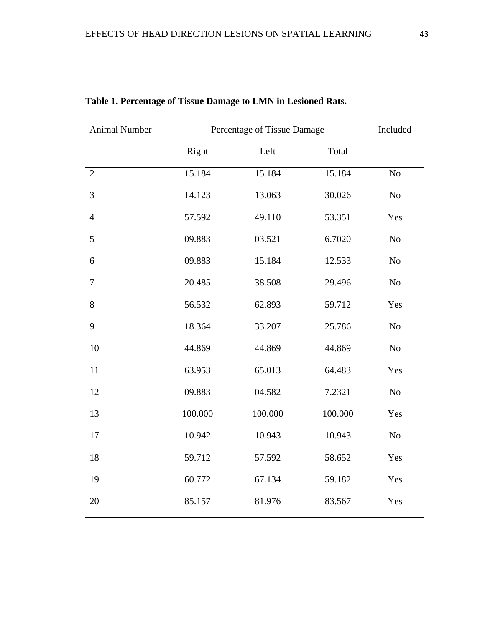| <b>Animal Number</b> | Percentage of Tissue Damage |         |         | Included |
|----------------------|-----------------------------|---------|---------|----------|
|                      | Right                       | Left    | Total   |          |
| $\overline{2}$       | 15.184                      | 15.184  | 15.184  | No       |
| 3                    | 14.123                      | 13.063  | 30.026  | $\rm No$ |
| $\overline{4}$       | 57.592                      | 49.110  | 53.351  | Yes      |
| 5                    | 09.883                      | 03.521  | 6.7020  | No       |
| 6                    | 09.883                      | 15.184  | 12.533  | No       |
| $\tau$               | 20.485                      | 38.508  | 29.496  | $\rm No$ |
| $8\,$                | 56.532                      | 62.893  | 59.712  | Yes      |
| 9                    | 18.364                      | 33.207  | 25.786  | $\rm No$ |
| 10                   | 44.869                      | 44.869  | 44.869  | $\rm No$ |
| 11                   | 63.953                      | 65.013  | 64.483  | Yes      |
| 12                   | 09.883                      | 04.582  | 7.2321  | No       |
| 13                   | 100.000                     | 100.000 | 100.000 | Yes      |
| 17                   | 10.942                      | 10.943  | 10.943  | No       |
| 18                   | 59.712                      | 57.592  | 58.652  | Yes      |
| 19                   | 60.772                      | 67.134  | 59.182  | Yes      |
| 20                   | 85.157                      | 81.976  | 83.567  | Yes      |

# **Table 1. Percentage of Tissue Damage to LMN in Lesioned Rats.**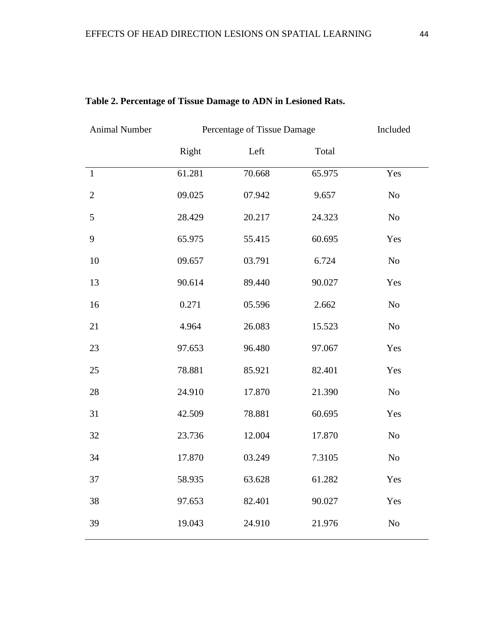| <b>Animal Number</b> | Percentage of Tissue Damage |        |        | Included       |
|----------------------|-----------------------------|--------|--------|----------------|
|                      | Right                       | Left   | Total  |                |
| $\mathbf{1}$         | 61.281                      | 70.668 | 65.975 | Yes            |
| $\mathbf{2}$         | 09.025                      | 07.942 | 9.657  | No             |
| 5                    | 28.429                      | 20.217 | 24.323 | N <sub>o</sub> |
| 9                    | 65.975                      | 55.415 | 60.695 | Yes            |
| 10                   | 09.657                      | 03.791 | 6.724  | No             |
| 13                   | 90.614                      | 89.440 | 90.027 | Yes            |
| 16                   | 0.271                       | 05.596 | 2.662  | N <sub>o</sub> |
| 21                   | 4.964                       | 26.083 | 15.523 | N <sub>o</sub> |
| 23                   | 97.653                      | 96.480 | 97.067 | Yes            |
| 25                   | 78.881                      | 85.921 | 82.401 | Yes            |
| 28                   | 24.910                      | 17.870 | 21.390 | N <sub>o</sub> |
| 31                   | 42.509                      | 78.881 | 60.695 | Yes            |
| 32                   | 23.736                      | 12.004 | 17.870 | N <sub>o</sub> |
| 34                   | 17.870                      | 03.249 | 7.3105 | N <sub>o</sub> |
| 37                   | 58.935                      | 63.628 | 61.282 | Yes            |
| 38                   | 97.653                      | 82.401 | 90.027 | Yes            |
| 39                   | 19.043                      | 24.910 | 21.976 | N <sub>o</sub> |

## **Table 2. Percentage of Tissue Damage to ADN in Lesioned Rats.**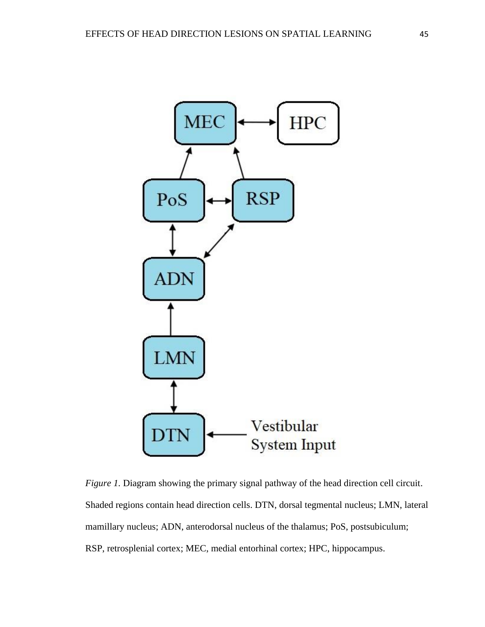

*Figure 1.* Diagram showing the primary signal pathway of the head direction cell circuit. Shaded regions contain head direction cells. DTN, dorsal tegmental nucleus; LMN, lateral mamillary nucleus; ADN, anterodorsal nucleus of the thalamus; PoS, postsubiculum; RSP, retrosplenial cortex; MEC, medial entorhinal cortex; HPC, hippocampus.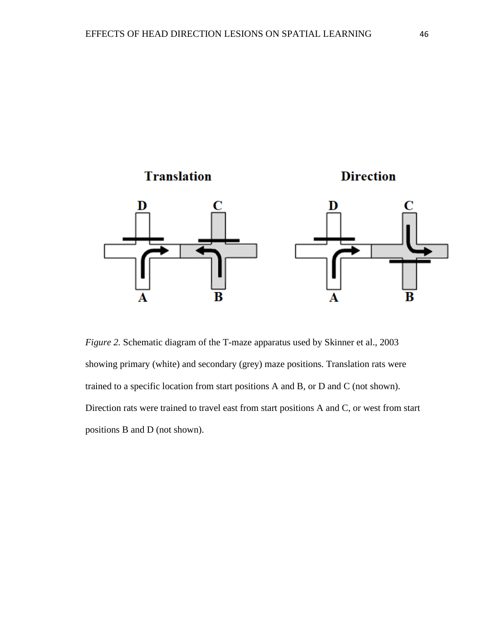

*Figure 2.* Schematic diagram of the T-maze apparatus used by Skinner et al., 2003 showing primary (white) and secondary (grey) maze positions. Translation rats were trained to a specific location from start positions A and B, or D and C (not shown). Direction rats were trained to travel east from start positions A and C, or west from start positions B and D (not shown).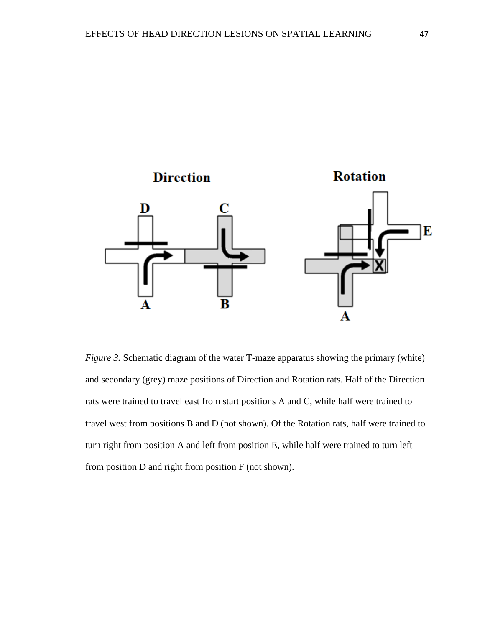

*Figure 3.* Schematic diagram of the water T-maze apparatus showing the primary (white) and secondary (grey) maze positions of Direction and Rotation rats. Half of the Direction rats were trained to travel east from start positions A and C, while half were trained to travel west from positions B and D (not shown). Of the Rotation rats, half were trained to turn right from position A and left from position E, while half were trained to turn left from position D and right from position F (not shown).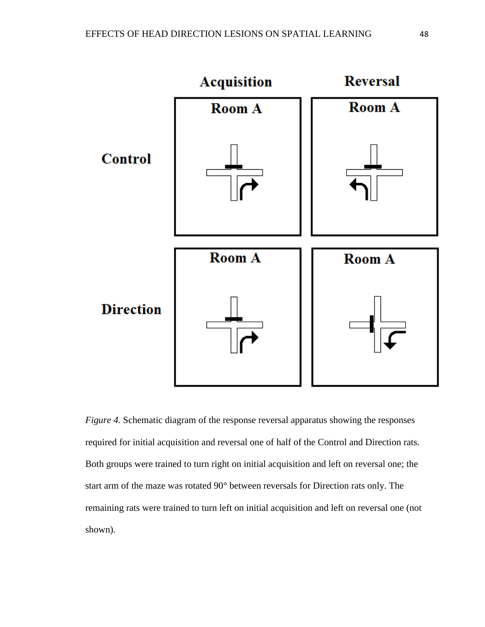

*Figure 4.* Schematic diagram of the response reversal apparatus showing the responses required for initial acquisition and reversal one of half of the Control and Direction rats. Both groups were trained to turn right on initial acquisition and left on reversal one; the start arm of the maze was rotated 90° between reversals for Direction rats only. The remaining rats were trained to turn left on initial acquisition and left on reversal one (not shown).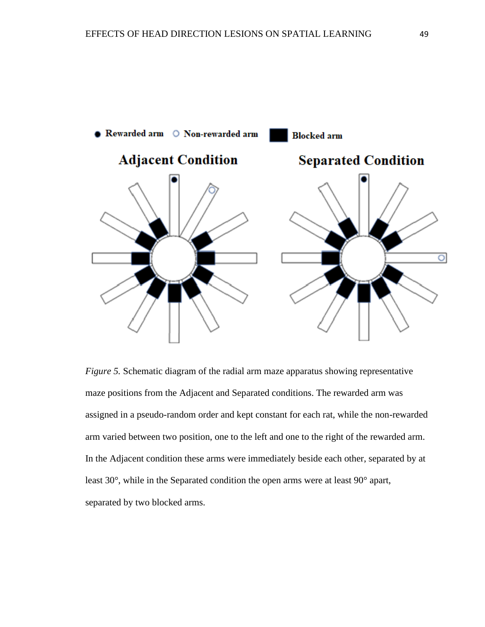

*Figure 5.* Schematic diagram of the radial arm maze apparatus showing representative maze positions from the Adjacent and Separated conditions. The rewarded arm was assigned in a pseudo-random order and kept constant for each rat, while the non-rewarded arm varied between two position, one to the left and one to the right of the rewarded arm. In the Adjacent condition these arms were immediately beside each other, separated by at least 30°, while in the Separated condition the open arms were at least 90° apart, separated by two blocked arms.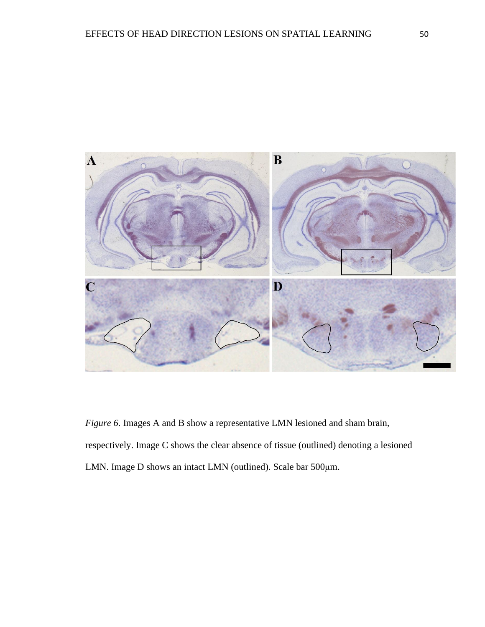

*Figure 6*. Images A and B show a representative LMN lesioned and sham brain, respectively. Image C shows the clear absence of tissue (outlined) denoting a lesioned LMN. Image D shows an intact LMN (outlined). Scale bar 500μm.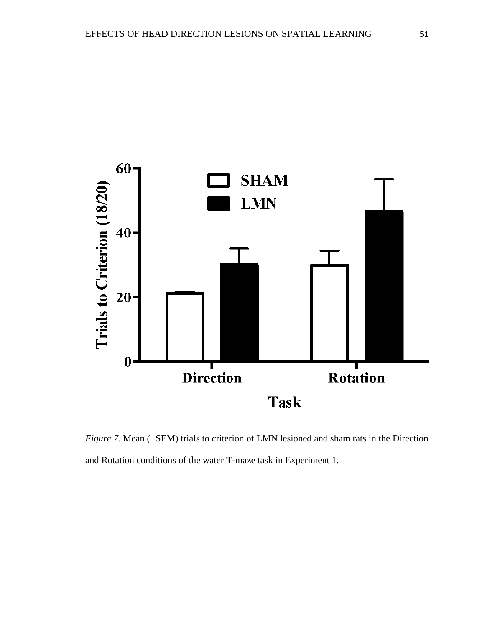

*Figure 7.* Mean (+SEM) trials to criterion of LMN lesioned and sham rats in the Direction and Rotation conditions of the water T-maze task in Experiment 1.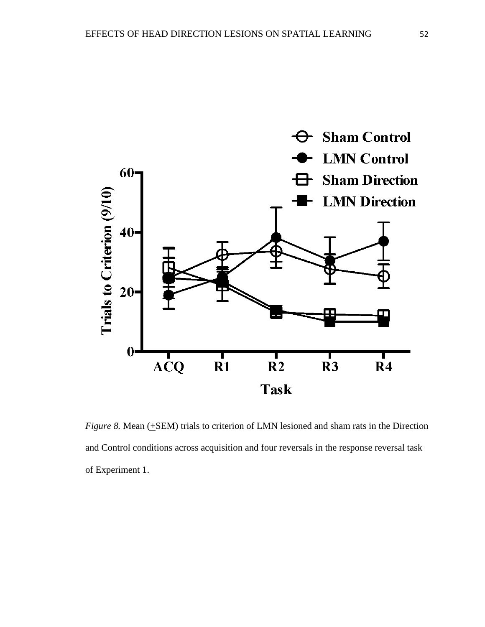

*Figure 8.* Mean ( $\pm$ SEM) trials to criterion of LMN lesioned and sham rats in the Direction and Control conditions across acquisition and four reversals in the response reversal task of Experiment 1.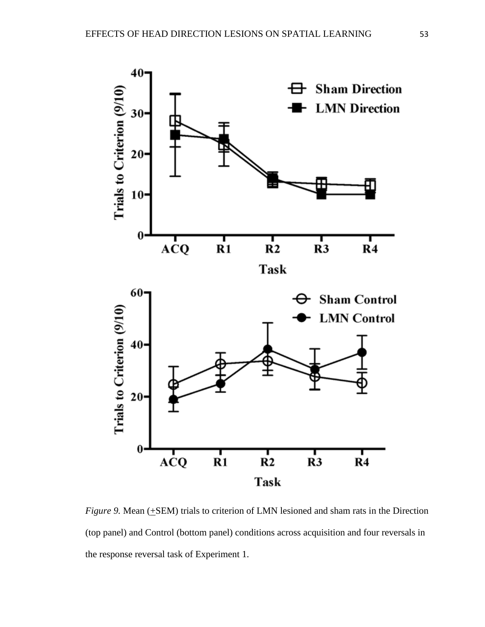

*Figure 9.* Mean (+SEM) trials to criterion of LMN lesioned and sham rats in the Direction (top panel) and Control (bottom panel) conditions across acquisition and four reversals in the response reversal task of Experiment 1.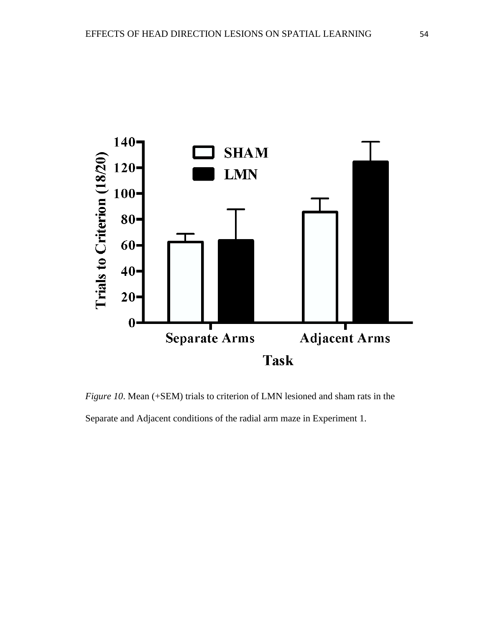

*Figure 10*. Mean (+SEM) trials to criterion of LMN lesioned and sham rats in the Separate and Adjacent conditions of the radial arm maze in Experiment 1.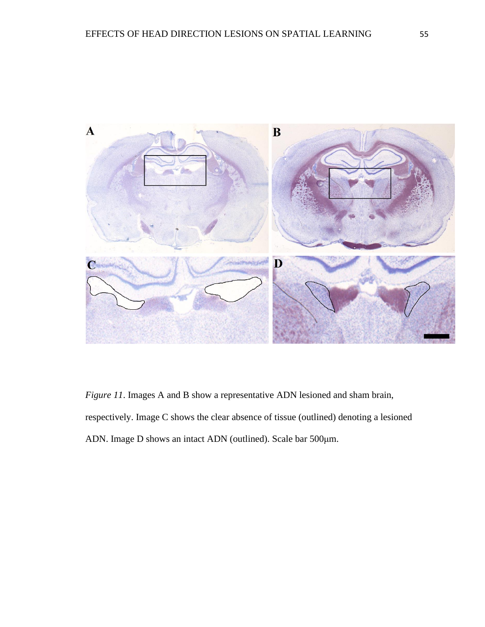

*Figure 11*. Images A and B show a representative ADN lesioned and sham brain, respectively. Image C shows the clear absence of tissue (outlined) denoting a lesioned ADN. Image D shows an intact ADN (outlined). Scale bar 500μm.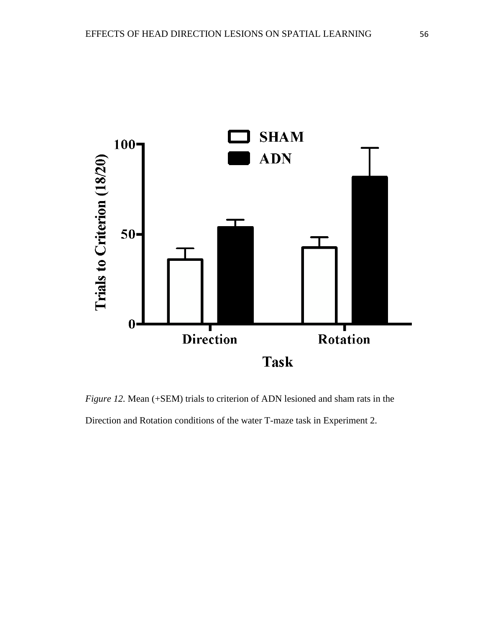

*Figure 12.* Mean (+SEM) trials to criterion of ADN lesioned and sham rats in the Direction and Rotation conditions of the water T-maze task in Experiment 2.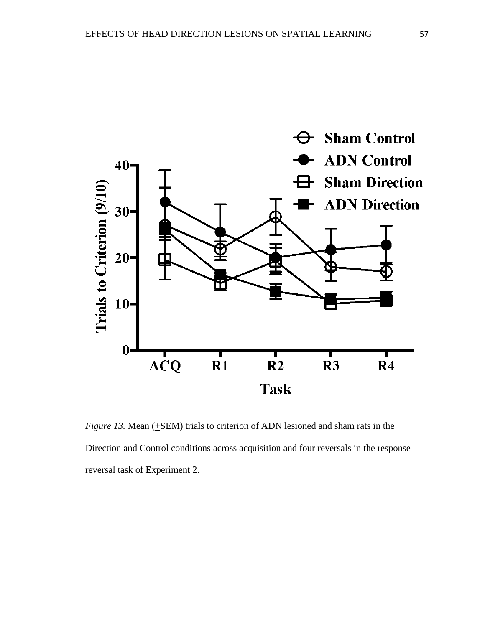

*Figure 13.* Mean  $(\pm$ SEM) trials to criterion of ADN lesioned and sham rats in the Direction and Control conditions across acquisition and four reversals in the response reversal task of Experiment 2.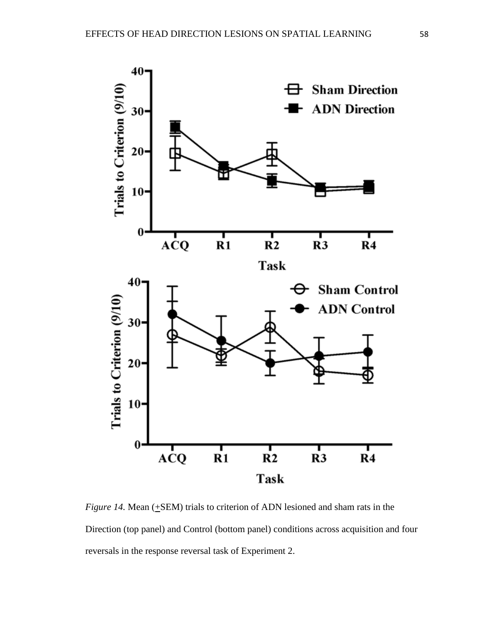

*Figure 14.* Mean (+SEM) trials to criterion of ADN lesioned and sham rats in the Direction (top panel) and Control (bottom panel) conditions across acquisition and four reversals in the response reversal task of Experiment 2.